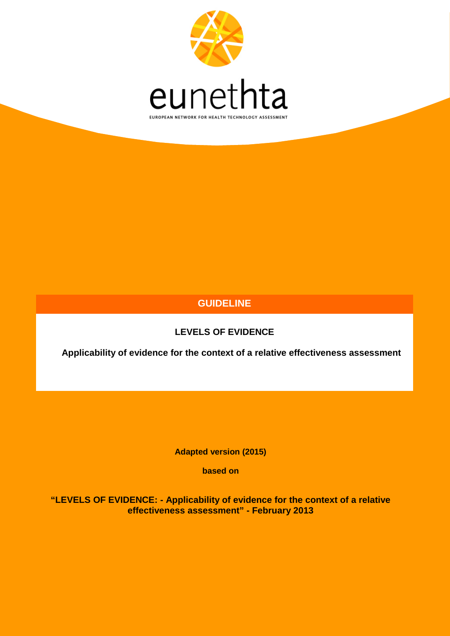

# **GUIDELINE**

# **LEVELS OF EVIDENCE**

**Applicability of evidence for the context of a relative effectiveness assessment**

**Adapted version (2015)**

**based on**

**"LEVELS OF EVIDENCE: - Applicability of evidence for the context of a relative effectiveness assessment" - February 2013**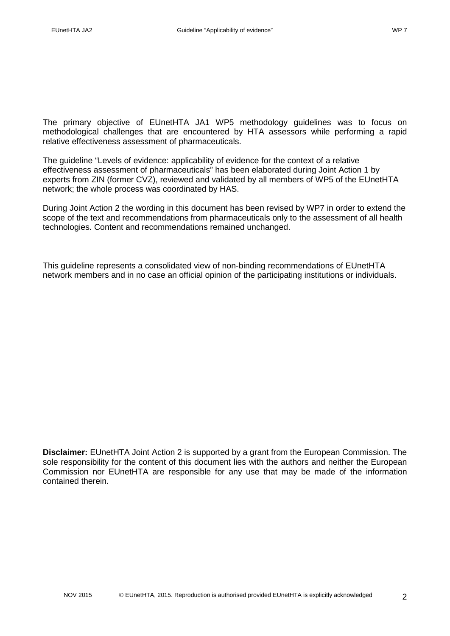The primary objective of EUnetHTA JA1 WP5 methodology guidelines was to focus on methodological challenges that are encountered by HTA assessors while performing a rapid relative effectiveness assessment of pharmaceuticals.

The guideline "Levels of evidence: applicability of evidence for the context of a relative effectiveness assessment of pharmaceuticals" has been elaborated during Joint Action 1 by experts from ZIN (former CVZ), reviewed and validated by all members of WP5 of the EUnetHTA network; the whole process was coordinated by HAS.

During Joint Action 2 the wording in this document has been revised by WP7 in order to extend the scope of the text and recommendations from pharmaceuticals only to the assessment of all health technologies. Content and recommendations remained unchanged.

This guideline represents a consolidated view of non-binding recommendations of EUnetHTA network members and in no case an official opinion of the participating institutions or individuals.

**Disclaimer:** EUnetHTA Joint Action 2 is supported by a grant from the European Commission. The sole responsibility for the content of this document lies with the authors and neither the European Commission nor EUnetHTA are responsible for any use that may be made of the information contained therein.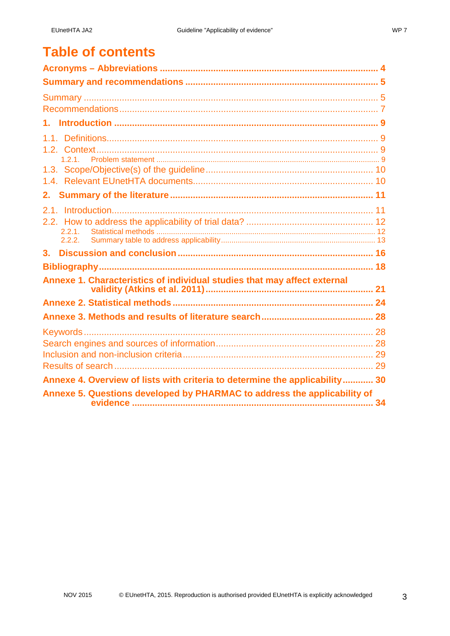# **Table of contents**

| 2.2.1.                                                                      |  |
|-----------------------------------------------------------------------------|--|
| 3.                                                                          |  |
|                                                                             |  |
| Annexe 1. Characteristics of individual studies that may affect external    |  |
|                                                                             |  |
|                                                                             |  |
|                                                                             |  |
|                                                                             |  |
|                                                                             |  |
|                                                                             |  |
| Annexe 4. Overview of lists with criteria to determine the applicability 30 |  |
| Annexe 5. Questions developed by PHARMAC to address the applicability of    |  |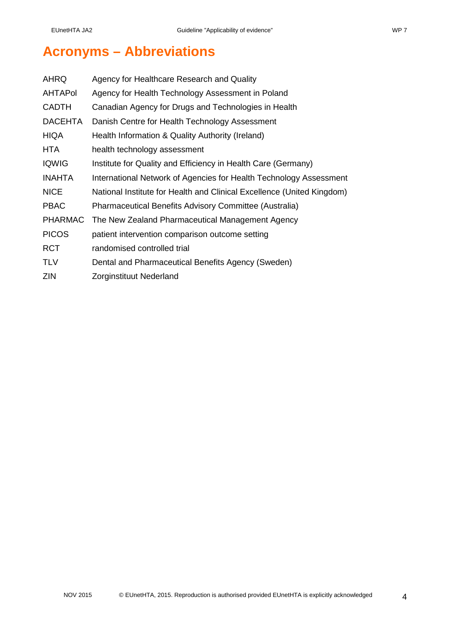# <span id="page-3-0"></span>**Acronyms – Abbreviations**

| AHRQ           | Agency for Healthcare Research and Quality                             |
|----------------|------------------------------------------------------------------------|
| <b>AHTAPol</b> | Agency for Health Technology Assessment in Poland                      |
| <b>CADTH</b>   | Canadian Agency for Drugs and Technologies in Health                   |
| <b>DACEHTA</b> | Danish Centre for Health Technology Assessment                         |
| <b>HIQA</b>    | Health Information & Quality Authority (Ireland)                       |
| <b>HTA</b>     | health technology assessment                                           |
| <b>IQWIG</b>   | Institute for Quality and Efficiency in Health Care (Germany)          |
| <b>INAHTA</b>  | International Network of Agencies for Health Technology Assessment     |
| <b>NICE</b>    | National Institute for Health and Clinical Excellence (United Kingdom) |
| <b>PBAC</b>    | Pharmaceutical Benefits Advisory Committee (Australia)                 |
| <b>PHARMAC</b> | The New Zealand Pharmaceutical Management Agency                       |
| <b>PICOS</b>   | patient intervention comparison outcome setting                        |
| <b>RCT</b>     | randomised controlled trial                                            |
| <b>TLV</b>     | Dental and Pharmaceutical Benefits Agency (Sweden)                     |
| <b>ZIN</b>     | Zorginstituut Nederland                                                |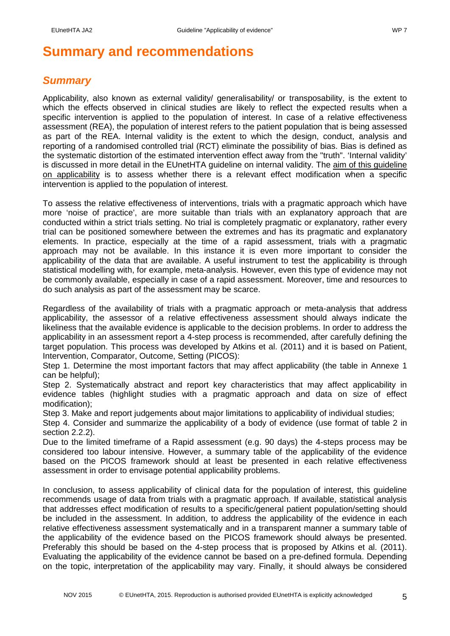# <span id="page-4-0"></span>**Summary and recommendations**

## <span id="page-4-1"></span>*Summary*

Applicability, also known as external validity/ generalisability/ or transposability, is the extent to which the effects observed in clinical studies are likely to reflect the expected results when a specific intervention is applied to the population of interest. In case of a relative effectiveness assessment (REA), the population of interest refers to the patient population that is being assessed as part of the REA. Internal validity is the extent to which the design, conduct, analysis and reporting of a randomised controlled trial (RCT) eliminate the possibility of bias. Bias is defined as the systematic distortion of the estimated intervention effect away from the "truth". 'Internal validity' is discussed in more detail in the EUnetHTA guideline on internal validity. The aim of this guideline on applicability is to assess whether there is a relevant effect modification when a specific intervention is applied to the population of interest.

To assess the relative effectiveness of interventions, trials with a pragmatic approach which have more 'noise of practice', are more suitable than trials with an explanatory approach that are conducted within a strict trials setting. No trial is completely pragmatic or explanatory, rather every trial can be positioned somewhere between the extremes and has its pragmatic and explanatory elements. In practice, especially at the time of a rapid assessment, trials with a pragmatic approach may not be available. In this instance it is even more important to consider the applicability of the data that are available. A useful instrument to test the applicability is through statistical modelling with, for example, meta-analysis. However, even this type of evidence may not be commonly available, especially in case of a rapid assessment. Moreover, time and resources to do such analysis as part of the assessment may be scarce.

Regardless of the availability of trials with a pragmatic approach or meta-analysis that address applicability, the assessor of a relative effectiveness assessment should always indicate the likeliness that the available evidence is applicable to the decision problems. In order to address the applicability in an assessment report a 4-step process is recommended, after carefully defining the target population. This process was developed by Atkins et al. (2011) and it is based on Patient, Intervention, Comparator, Outcome, Setting (PICOS):

Step 1. Determine the most important factors that may affect applicability (the table in Annexe 1 can be helpful);

Step 2. Systematically abstract and report key characteristics that may affect applicability in evidence tables (highlight studies with a pragmatic approach and data on size of effect modification);

Step 3. Make and report judgements about major limitations to applicability of individual studies;

Step 4. Consider and summarize the applicability of a body of evidence (use format of table 2 in section 2.2.2).

Due to the limited timeframe of a Rapid assessment (e.g. 90 days) the 4-steps process may be considered too labour intensive. However, a summary table of the applicability of the evidence based on the PICOS framework should at least be presented in each relative effectiveness assessment in order to envisage potential applicability problems.

In conclusion, to assess applicability of clinical data for the population of interest, this guideline recommends usage of data from trials with a pragmatic approach. If available, statistical analysis that addresses effect modification of results to a specific/general patient population/setting should be included in the assessment. In addition, to address the applicability of the evidence in each relative effectiveness assessment systematically and in a transparent manner a summary table of the applicability of the evidence based on the PICOS framework should always be presented. Preferably this should be based on the 4-step process that is proposed by Atkins et al. (2011). Evaluating the applicability of the evidence cannot be based on a pre-defined formula. Depending on the topic, interpretation of the applicability may vary. Finally, it should always be considered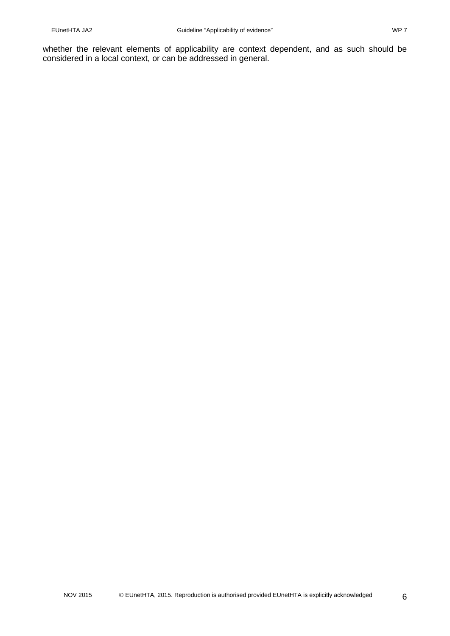whether the relevant elements of applicability are context dependent, and as such should be considered in a local context, or can be addressed in general.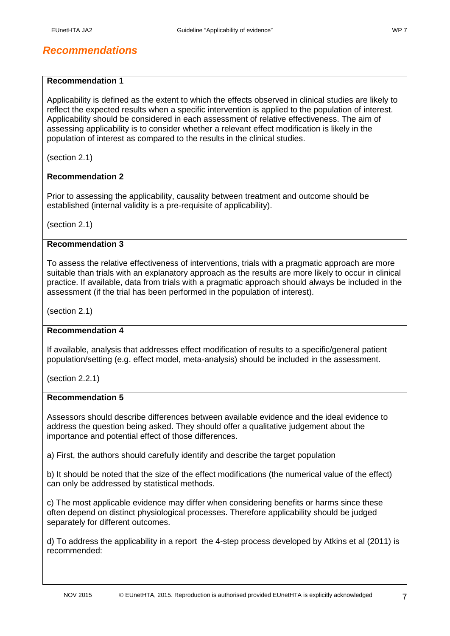# <span id="page-6-0"></span>*Recommendations*

#### **Recommendation 1**

Applicability is defined as the extent to which the effects observed in clinical studies are likely to reflect the expected results when a specific intervention is applied to the population of interest. Applicability should be considered in each assessment of relative effectiveness. The aim of assessing applicability is to consider whether a relevant effect modification is likely in the population of interest as compared to the results in the clinical studies.

(section 2.1)

#### **Recommendation 2**

Prior to assessing the applicability, causality between treatment and outcome should be established (internal validity is a pre-requisite of applicability).

(section 2.1)

### **Recommendation 3**

To assess the relative effectiveness of interventions, trials with a pragmatic approach are more suitable than trials with an explanatory approach as the results are more likely to occur in clinical practice. If available, data from trials with a pragmatic approach should always be included in the assessment (if the trial has been performed in the population of interest).

(section 2.1)

#### **Recommendation 4**

If available, analysis that addresses effect modification of results to a specific/general patient population/setting (e.g. effect model, meta-analysis) should be included in the assessment.

(section 2.2.1)

#### **Recommendation 5**

Assessors should describe differences between available evidence and the ideal evidence to address the question being asked. They should offer a qualitative judgement about the importance and potential effect of those differences.

a) First, the authors should carefully identify and describe the target population

b) It should be noted that the size of the effect modifications (the numerical value of the effect) can only be addressed by statistical methods.

c) The most applicable evidence may differ when considering benefits or harms since these often depend on distinct physiological processes. Therefore applicability should be judged separately for different outcomes.

d) To address the applicability in a report the 4-step process developed by Atkins et al (2011) is recommended: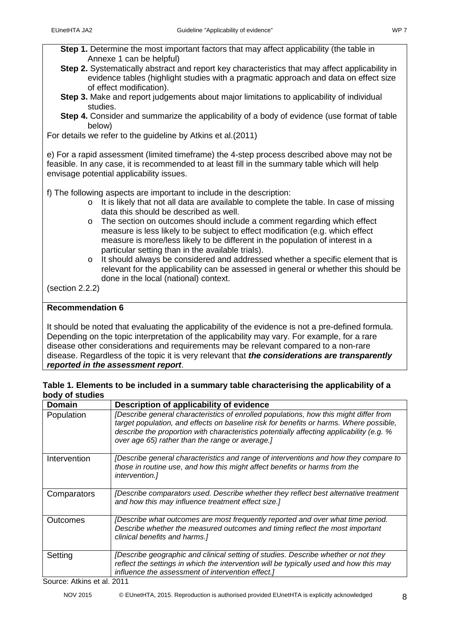- **Step 2.** Systematically abstract and report key characteristics that may affect applicability in evidence tables (highlight studies with a pragmatic approach and data on effect size of effect modification).
- **Step 3.** Make and report judgements about major limitations to applicability of individual studies.
- **Step 4.** Consider and summarize the applicability of a body of evidence (use format of table below)

For details we refer to the guideline by Atkins et al.(2011)

e) For a rapid assessment (limited timeframe) the 4-step process described above may not be feasible. In any case, it is recommended to at least fill in the summary table which will help envisage potential applicability issues.

f) The following aspects are important to include in the description:

- o It is likely that not all data are available to complete the table. In case of missing data this should be described as well.
- o The section on outcomes should include a comment regarding which effect measure is less likely to be subject to effect modification (e.g. which effect measure is more/less likely to be different in the population of interest in a particular setting than in the available trials).
- o It should always be considered and addressed whether a specific element that is relevant for the applicability can be assessed in general or whether this should be done in the local (national) context.

(section 2.2.2)

### **Recommendation 6**

It should be noted that evaluating the applicability of the evidence is not a pre-defined formula. Depending on the topic interpretation of the applicability may vary. For example, for a rare disease other considerations and requirements may be relevant compared to a non-rare disease. Regardless of the topic it is very relevant that *the considerations are transparently reported in the assessment report*.

#### **Table 1. Elements to be included in a summary table characterising the applicability of a body of studies**

| <b>Domain</b>                        | Description of applicability of evidence                                                                                                                                                                                                                                                                                       |
|--------------------------------------|--------------------------------------------------------------------------------------------------------------------------------------------------------------------------------------------------------------------------------------------------------------------------------------------------------------------------------|
| Population                           | [Describe general characteristics of enrolled populations, how this might differ from<br>target population, and effects on baseline risk for benefits or harms. Where possible,<br>describe the proportion with characteristics potentially affecting applicability (e.g. %<br>over age 65) rather than the range or average.] |
| Intervention                         | [Describe general characteristics and range of interventions and how they compare to<br>those in routine use, and how this might affect benefits or harms from the<br><i>intervention.]</i>                                                                                                                                    |
| Comparators                          | [Describe comparators used. Describe whether they reflect best alternative treatment<br>and how this may influence treatment effect size.]                                                                                                                                                                                     |
| Outcomes                             | [Describe what outcomes are most frequently reported and over what time period.<br>Describe whether the measured outcomes and timing reflect the most important<br>clinical benefits and harms.]                                                                                                                               |
| Setting<br>Source: Atkins of al 2011 | [Describe geographic and clinical setting of studies. Describe whether or not they<br>reflect the settings in which the intervention will be typically used and how this may<br>influence the assessment of intervention effect.]                                                                                              |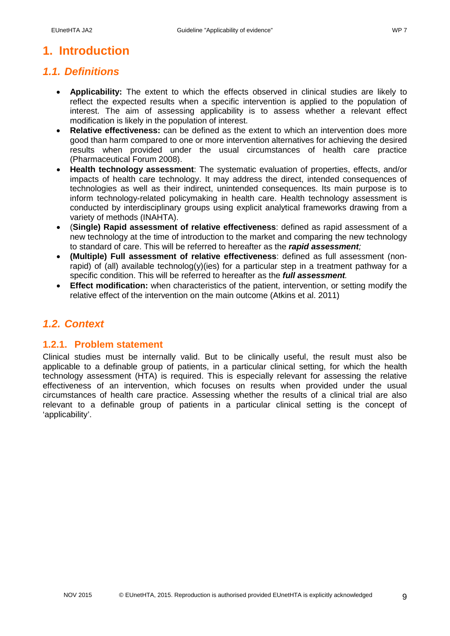# <span id="page-8-0"></span>**1. Introduction**

# <span id="page-8-1"></span>*1.1. Definitions*

- **Applicability:** The extent to which the effects observed in clinical studies are likely to reflect the expected results when a specific intervention is applied to the population of interest. The aim of assessing applicability is to assess whether a relevant effect modification is likely in the population of interest.
- **Relative effectiveness:** can be defined as the extent to which an intervention does more good than harm compared to one or more intervention alternatives for achieving the desired results when provided under the usual circumstances of health care practice (Pharmaceutical Forum 2008).
- **Health technology assessment**: The systematic evaluation of properties, effects, and/or impacts of health care technology. It may address the direct, intended consequences of technologies as well as their indirect, unintended consequences. Its main purpose is to inform technology-related policymaking in health care. Health technology assessment is conducted by interdisciplinary groups using explicit analytical frameworks drawing from a variety of methods (INAHTA).
- (**Single) Rapid assessment of relative effectiveness**: defined as rapid assessment of a new technology at the time of introduction to the market and comparing the new technology to standard of care. This will be referred to hereafter as the *rapid assessment;*
- **(Multiple) Full assessment of relative effectiveness**: defined as full assessment (nonrapid) of (all) available technolog(y)(ies) for a particular step in a treatment pathway for a specific condition. This will be referred to hereafter as the *full assessment.*
- **Effect modification:** when characteristics of the patient, intervention, or setting modify the relative effect of the intervention on the main outcome (Atkins et al. 2011)

# <span id="page-8-2"></span>*1.2. Context*

### <span id="page-8-3"></span>**1.2.1. Problem statement**

Clinical studies must be internally valid. But to be clinically useful, the result must also be applicable to a definable group of patients, in a particular clinical setting, for which the health technology assessment (HTA) is required. This is especially relevant for assessing the relative effectiveness of an intervention, which focuses on results when provided under the usual circumstances of health care practice. Assessing whether the results of a clinical trial are also relevant to a definable group of patients in a particular clinical setting is the concept of 'applicability'.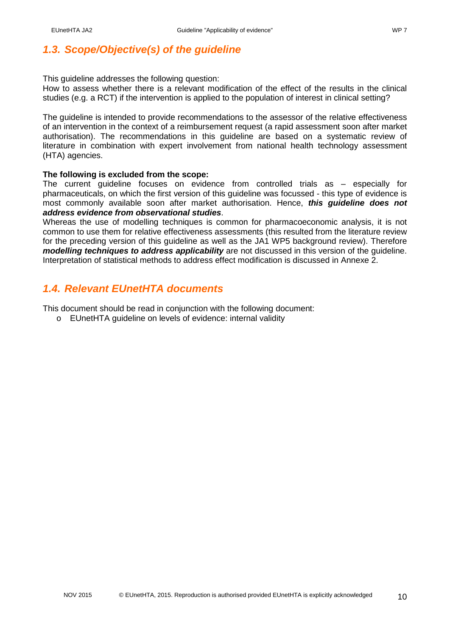<span id="page-9-0"></span>*1.3. Scope/Objective(s) of the guideline*

This guideline addresses the following question:

How to assess whether there is a relevant modification of the effect of the results in the clinical studies (e.g. a RCT) if the intervention is applied to the population of interest in clinical setting?

The guideline is intended to provide recommendations to the assessor of the relative effectiveness of an intervention in the context of a reimbursement request (a rapid assessment soon after market authorisation). The recommendations in this guideline are based on a systematic review of literature in combination with expert involvement from national health technology assessment (HTA) agencies.

### **The following is excluded from the scope:**

The current guideline focuses on evidence from controlled trials as – especially for pharmaceuticals, on which the first version of this guideline was focussed - this type of evidence is most commonly available soon after market authorisation. Hence, *this guideline does not address evidence from observational studies*.

Whereas the use of modelling techniques is common for pharmacoeconomic analysis, it is not common to use them for relative effectiveness assessments (this resulted from the literature review for the preceding version of this guideline as well as the JA1 WP5 background review). Therefore *modelling techniques to address applicability* are not discussed in this version of the guideline. Interpretation of statistical methods to address effect modification is discussed in Annexe 2.

# <span id="page-9-1"></span>*1.4. Relevant EUnetHTA documents*

This document should be read in conjunction with the following document:

o EUnetHTA guideline on levels of evidence: internal validity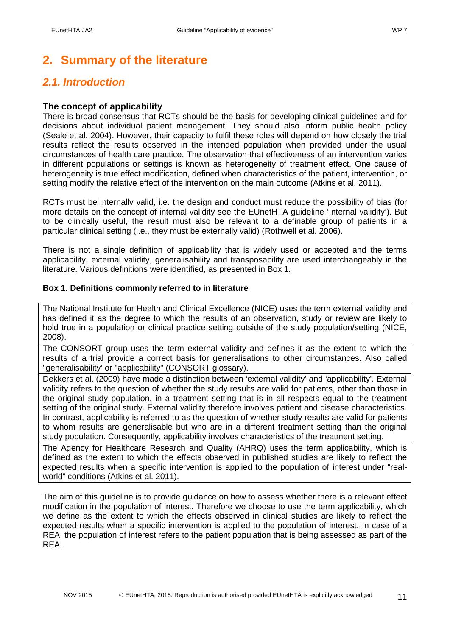# <span id="page-10-0"></span>**2. Summary of the literature**

# <span id="page-10-1"></span>*2.1. Introduction*

### **The concept of applicability**

There is broad consensus that RCTs should be the basis for developing clinical guidelines and for decisions about individual patient management. They should also inform public health policy (Seale et al. 2004). However, their capacity to fulfil these roles will depend on how closely the trial results reflect the results observed in the intended population when provided under the usual circumstances of health care practice. The observation that effectiveness of an intervention varies in different populations or settings is known as heterogeneity of treatment effect. One cause of heterogeneity is true effect modification, defined when characteristics of the patient, intervention, or setting modify the relative effect of the intervention on the main outcome (Atkins et al. 2011).

RCTs must be internally valid, i.e. the design and conduct must reduce the possibility of bias (for more details on the concept of internal validity see the EUnetHTA guideline 'Internal validity'). But to be clinically useful, the result must also be relevant to a definable group of patients in a particular clinical setting (i.e., they must be externally valid) (Rothwell et al. 2006).

There is not a single definition of applicability that is widely used or accepted and the terms applicability, external validity, generalisability and transposability are used interchangeably in the literature. Various definitions were identified, as presented in Box 1.

#### **Box 1. Definitions commonly referred to in literature**

The National Institute for Health and Clinical Excellence (NICE) uses the term external validity and has defined it as the degree to which the results of an observation, study or review are likely to hold true in a population or clinical practice setting outside of the study population/setting (NICE, 2008).

The CONSORT group uses the term external validity and defines it as the extent to which the results of a trial provide a correct basis for generalisations to other circumstances. Also called "generalisability' or "applicability" (CONSORT glossary).

Dekkers et al. (2009) have made a distinction between 'external validity' and 'applicability'. External validity refers to the question of whether the study results are valid for patients, other than those in the original study population, in a treatment setting that is in all respects equal to the treatment setting of the original study. External validity therefore involves patient and disease characteristics. In contrast, applicability is referred to as the question of whether study results are valid for patients to whom results are generalisable but who are in a different treatment setting than the original study population. Consequently, applicability involves characteristics of the treatment setting.

The Agency for Healthcare Research and Quality (AHRQ) uses the term applicability, which is defined as the extent to which the effects observed in published studies are likely to reflect the expected results when a specific intervention is applied to the population of interest under "realworld" conditions (Atkins et al. 2011).

The aim of this guideline is to provide guidance on how to assess whether there is a relevant effect modification in the population of interest. Therefore we choose to use the term applicability, which we define as the extent to which the effects observed in clinical studies are likely to reflect the expected results when a specific intervention is applied to the population of interest. In case of a REA, the population of interest refers to the patient population that is being assessed as part of the REA.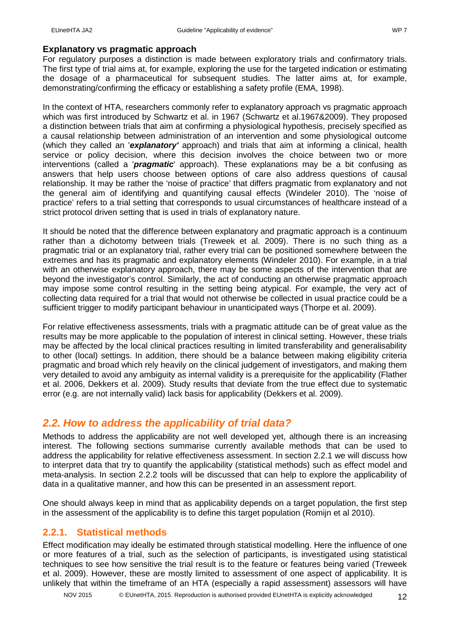For regulatory purposes a distinction is made between exploratory trials and confirmatory trials. The first type of trial aims at, for example, exploring the use for the targeted indication or estimating the dosage of a pharmaceutical for subsequent studies. The latter aims at, for example, demonstrating/confirming the efficacy or establishing a safety profile (EMA, 1998).

In the context of HTA, researchers commonly refer to explanatory approach vs pragmatic approach which was first introduced by Schwartz et al. in 1967 (Schwartz et al.1967&2009). They proposed a distinction between trials that aim at confirming a physiological hypothesis, precisely specified as a causal relationship between administration of an intervention and some physiological outcome (which they called an '*explanatory'* approach) and trials that aim at informing a clinical, health service or policy decision, where this decision involves the choice between two or more interventions (called a '*pragmatic*' approach). These explanations may be a bit confusing as answers that help users choose between options of care also address questions of causal relationship. It may be rather the 'noise of practice' that differs pragmatic from explanatory and not the general aim of identifying and quantifying causal effects (Windeler 2010). The 'noise of practice' refers to a trial setting that corresponds to usual circumstances of healthcare instead of a strict protocol driven setting that is used in trials of explanatory nature.

It should be noted that the difference between explanatory and pragmatic approach is a continuum rather than a dichotomy between trials (Treweek et al. 2009). There is no such thing as a pragmatic trial or an explanatory trial, rather every trial can be positioned somewhere between the extremes and has its pragmatic and explanatory elements (Windeler 2010). For example, in a trial with an otherwise explanatory approach, there may be some aspects of the intervention that are beyond the investigator's control. Similarly, the act of conducting an otherwise pragmatic approach may impose some control resulting in the setting being atypical. For example, the very act of collecting data required for a trial that would not otherwise be collected in usual practice could be a sufficient trigger to modify participant behaviour in unanticipated ways (Thorpe et al. 2009).

For relative effectiveness assessments, trials with a pragmatic attitude can be of great value as the results may be more applicable to the population of interest in clinical setting. However, these trials may be affected by the local clinical practices resulting in limited transferability and generalisability to other (local) settings. In addition, there should be a balance between making eligibility criteria pragmatic and broad which rely heavily on the clinical judgement of investigators, and making them very detailed to avoid any ambiguity as internal validity is a prerequisite for the applicability (Flather et al. 2006, Dekkers et al. 2009). Study results that deviate from the true effect due to systematic error (e.g. are not internally valid) lack basis for applicability (Dekkers et al. 2009).

### <span id="page-11-0"></span>*2.2. How to address the applicability of trial data?*

Methods to address the applicability are not well developed yet, although there is an increasing interest. The following sections summarise currently available methods that can be used to address the applicability for relative effectiveness assessment. In section 2.2.1 we will discuss how to interpret data that try to quantify the applicability (statistical methods) such as effect model and meta-analysis. In section 2.2.2 tools will be discussed that can help to explore the applicability of data in a qualitative manner, and how this can be presented in an assessment report.

One should always keep in mind that as applicability depends on a target population, the first step in the assessment of the applicability is to define this target population (Romijn et al 2010).

### <span id="page-11-1"></span>**2.2.1. Statistical methods**

Effect modification may ideally be estimated through statistical modelling. Here the influence of one or more features of a trial, such as the selection of participants, is investigated using statistical techniques to see how sensitive the trial result is to the feature or features being varied (Treweek et al. 2009). However, these are mostly limited to assessment of one aspect of applicability. It is unlikely that within the timeframe of an HTA (especially a rapid assessment) assessors will have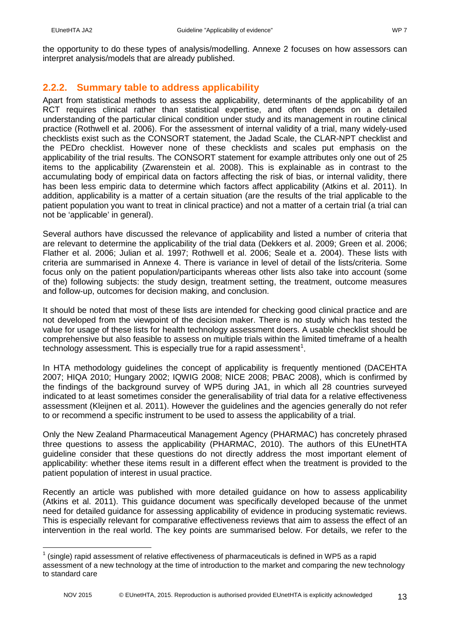### <span id="page-12-0"></span>**2.2.2. Summary table to address applicability**

Apart from statistical methods to assess the applicability, determinants of the applicability of an RCT requires clinical rather than statistical expertise, and often depends on a detailed understanding of the particular clinical condition under study and its management in routine clinical practice (Rothwell et al. 2006). For the assessment of internal validity of a trial, many widely-used checklists exist such as the CONSORT statement, the Jadad Scale, the CLAR-NPT checklist and the PEDro checklist. However none of these checklists and scales put emphasis on the applicability of the trial results. The CONSORT statement for example attributes only one out of 25 items to the applicability (Zwarenstein et al. 2008). This is explainable as in contrast to the accumulating body of empirical data on factors affecting the risk of bias, or internal validity, there has been less empiric data to determine which factors affect applicability (Atkins et al. 2011). In addition, applicability is a matter of a certain situation (are the results of the trial applicable to the patient population you want to treat in clinical practice) and not a matter of a certain trial (a trial can not be 'applicable' in general).

Several authors have discussed the relevance of applicability and listed a number of criteria that are relevant to determine the applicability of the trial data (Dekkers et al. 2009; Green et al. 2006; Flather et al. 2006; Julian et al. 1997; Rothwell et al. 2006; Seale et a. 2004). These lists with criteria are summarised in Annexe 4. There is variance in level of detail of the lists/criteria. Some focus only on the patient population/participants whereas other lists also take into account (some of the) following subjects: the study design, treatment setting, the treatment, outcome measures and follow-up, outcomes for decision making, and conclusion.

It should be noted that most of these lists are intended for checking good clinical practice and are not developed from the viewpoint of the decision maker. There is no study which has tested the value for usage of these lists for health technology assessment doers. A usable checklist should be comprehensive but also feasible to assess on multiple trials within the limited timeframe of a health technology assessment. This is especially true for a rapid assessment<sup>[1](#page-12-1)</sup>.

In HTA methodology guidelines the concept of applicability is frequently mentioned (DACEHTA 2007; HIQA 2010; Hungary 2002; IQWIG 2008; NICE 2008; PBAC 2008), which is confirmed by the findings of the background survey of WP5 during JA1, in which all 28 countries surveyed indicated to at least sometimes consider the generalisability of trial data for a relative effectiveness assessment (Kleijnen et al. 2011). However the guidelines and the agencies generally do not refer to or recommend a specific instrument to be used to assess the applicability of a trial.

Only the New Zealand Pharmaceutical Management Agency (PHARMAC) has concretely phrased three questions to assess the applicability (PHARMAC, 2010). The authors of this EUnetHTA guideline consider that these questions do not directly address the most important element of applicability: whether these items result in a different effect when the treatment is provided to the patient population of interest in usual practice.

Recently an article was published with more detailed guidance on how to assess applicability (Atkins et al. 2011). This guidance document was specifically developed because of the unmet need for detailed guidance for assessing applicability of evidence in producing systematic reviews. This is especially relevant for comparative effectiveness reviews that aim to assess the effect of an intervention in the real world. The key points are summarised below. For details, we refer to the

<span id="page-12-1"></span> $1$  (single) rapid assessment of relative effectiveness of pharmaceuticals is defined in WP5 as a rapid assessment of a new technology at the time of introduction to the market and comparing the new technology to standard care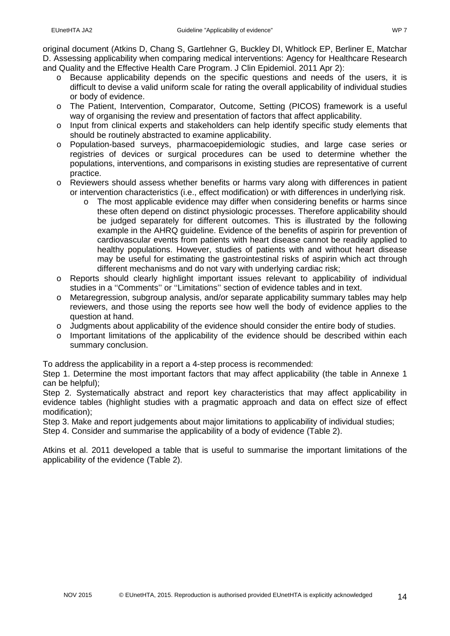original document (Atkins D, Chang S, Gartlehner G, Buckley DI, Whitlock EP, Berliner E, Matchar D. Assessing applicability when comparing medical interventions: Agency for Healthcare Research and Quality and the Effective Health Care Program. J Clin Epidemiol. 2011 Apr 2):

- o Because applicability depends on the specific questions and needs of the users, it is difficult to devise a valid uniform scale for rating the overall applicability of individual studies or body of evidence.
- o The Patient, Intervention, Comparator, Outcome, Setting (PICOS) framework is a useful way of organising the review and presentation of factors that affect applicability.
- o Input from clinical experts and stakeholders can help identify specific study elements that should be routinely abstracted to examine applicability.
- o Population-based surveys, pharmacoepidemiologic studies, and large case series or registries of devices or surgical procedures can be used to determine whether the populations, interventions, and comparisons in existing studies are representative of current practice.
- o Reviewers should assess whether benefits or harms vary along with differences in patient or intervention characteristics (i.e., effect modification) or with differences in underlying risk.
	- o The most applicable evidence may differ when considering benefits or harms since these often depend on distinct physiologic processes. Therefore applicability should be judged separately for different outcomes. This is illustrated by the following example in the AHRQ guideline. Evidence of the benefits of aspirin for prevention of cardiovascular events from patients with heart disease cannot be readily applied to healthy populations. However, studies of patients with and without heart disease may be useful for estimating the gastrointestinal risks of aspirin which act through different mechanisms and do not vary with underlying cardiac risk;
- o Reports should clearly highlight important issues relevant to applicability of individual studies in a ''Comments'' or ''Limitations'' section of evidence tables and in text.
- o Metaregression, subgroup analysis, and/or separate applicability summary tables may help reviewers, and those using the reports see how well the body of evidence applies to the question at hand.
- $\circ$  Judgments about applicability of the evidence should consider the entire body of studies.
- o Important limitations of the applicability of the evidence should be described within each summary conclusion.

To address the applicability in a report a 4-step process is recommended:

Step 1. Determine the most important factors that may affect applicability (the table in Annexe 1 can be helpful);

Step 2. Systematically abstract and report key characteristics that may affect applicability in evidence tables (highlight studies with a pragmatic approach and data on effect size of effect modification);

Step 3. Make and report judgements about major limitations to applicability of individual studies;

Step 4. Consider and summarise the applicability of a body of evidence (Table 2).

Atkins et al. 2011 developed a table that is useful to summarise the important limitations of the applicability of the evidence (Table 2).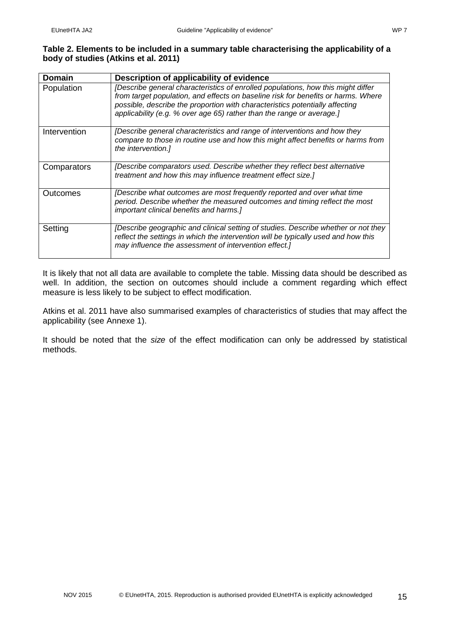#### **Table 2. Elements to be included in a summary table characterising the applicability of a body of studies (Atkins et al. 2011)**

| <b>Domain</b> | Description of applicability of evidence                                                                                                                                                                                                                                                                                       |
|---------------|--------------------------------------------------------------------------------------------------------------------------------------------------------------------------------------------------------------------------------------------------------------------------------------------------------------------------------|
| Population    | [Describe general characteristics of enrolled populations, how this might differ<br>from target population, and effects on baseline risk for benefits or harms. Where<br>possible, describe the proportion with characteristics potentially affecting<br>applicability (e.g. % over age 65) rather than the range or average.] |
| Intervention  | [Describe general characteristics and range of interventions and how they<br>compare to those in routine use and how this might affect benefits or harms from<br>the intervention.]                                                                                                                                            |
| Comparators   | [Describe comparators used. Describe whether they reflect best alternative<br>treatment and how this may influence treatment effect size.]                                                                                                                                                                                     |
| Outcomes      | [Describe what outcomes are most frequently reported and over what time<br>period. Describe whether the measured outcomes and timing reflect the most<br>important clinical benefits and harms.]                                                                                                                               |
| Setting       | [Describe geographic and clinical setting of studies. Describe whether or not they<br>reflect the settings in which the intervention will be typically used and how this<br>may influence the assessment of intervention effect.]                                                                                              |

It is likely that not all data are available to complete the table. Missing data should be described as well. In addition, the section on outcomes should include a comment regarding which effect measure is less likely to be subject to effect modification.

Atkins et al. 2011 have also summarised examples of characteristics of studies that may affect the applicability (see Annexe 1).

It should be noted that the *size* of the effect modification can only be addressed by statistical methods.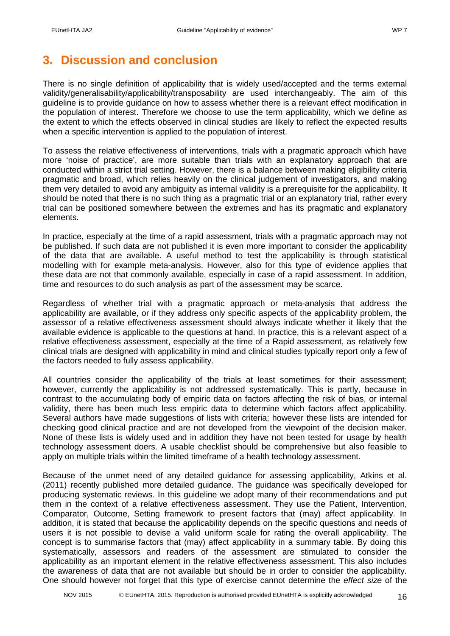# <span id="page-15-0"></span>**3. Discussion and conclusion**

There is no single definition of applicability that is widely used/accepted and the terms external validity/generalisability/applicability/transposability are used interchangeably. The aim of this guideline is to provide guidance on how to assess whether there is a relevant effect modification in the population of interest. Therefore we choose to use the term applicability, which we define as the extent to which the effects observed in clinical studies are likely to reflect the expected results when a specific intervention is applied to the population of interest.

To assess the relative effectiveness of interventions, trials with a pragmatic approach which have more 'noise of practice', are more suitable than trials with an explanatory approach that are conducted within a strict trial setting. However, there is a balance between making eligibility criteria pragmatic and broad, which relies heavily on the clinical judgement of investigators, and making them very detailed to avoid any ambiguity as internal validity is a prerequisite for the applicability. It should be noted that there is no such thing as a pragmatic trial or an explanatory trial, rather every trial can be positioned somewhere between the extremes and has its pragmatic and explanatory elements.

In practice, especially at the time of a rapid assessment, trials with a pragmatic approach may not be published. If such data are not published it is even more important to consider the applicability of the data that are available. A useful method to test the applicability is through statistical modelling with for example meta-analysis. However, also for this type of evidence applies that these data are not that commonly available, especially in case of a rapid assessment. In addition, time and resources to do such analysis as part of the assessment may be scarce.

Regardless of whether trial with a pragmatic approach or meta-analysis that address the applicability are available, or if they address only specific aspects of the applicability problem, the assessor of a relative effectiveness assessment should always indicate whether it likely that the available evidence is applicable to the questions at hand. In practice, this is a relevant aspect of a relative effectiveness assessment, especially at the time of a Rapid assessment, as relatively few clinical trials are designed with applicability in mind and clinical studies typically report only a few of the factors needed to fully assess applicability.

All countries consider the applicability of the trials at least sometimes for their assessment; however, currently the applicability is not addressed systematically. This is partly, because in contrast to the accumulating body of empiric data on factors affecting the risk of bias, or internal validity, there has been much less empiric data to determine which factors affect applicability. Several authors have made suggestions of lists with criteria; however these lists are intended for checking good clinical practice and are not developed from the viewpoint of the decision maker. None of these lists is widely used and in addition they have not been tested for usage by health technology assessment doers. A usable checklist should be comprehensive but also feasible to apply on multiple trials within the limited timeframe of a health technology assessment.

Because of the unmet need of any detailed guidance for assessing applicability, Atkins et al. (2011) recently published more detailed guidance. The guidance was specifically developed for producing systematic reviews. In this guideline we adopt many of their recommendations and put them in the context of a relative effectiveness assessment. They use the Patient, Intervention, Comparator, Outcome, Setting framework to present factors that (may) affect applicability. In addition, it is stated that because the applicability depends on the specific questions and needs of users it is not possible to devise a valid uniform scale for rating the overall applicability. The concept is to summarise factors that (may) affect applicability in a summary table. By doing this systematically, assessors and readers of the assessment are stimulated to consider the applicability as an important element in the relative effectiveness assessment. This also includes the awareness of data that are not available but should be in order to consider the applicability. One should however not forget that this type of exercise cannot determine the *effect size* of the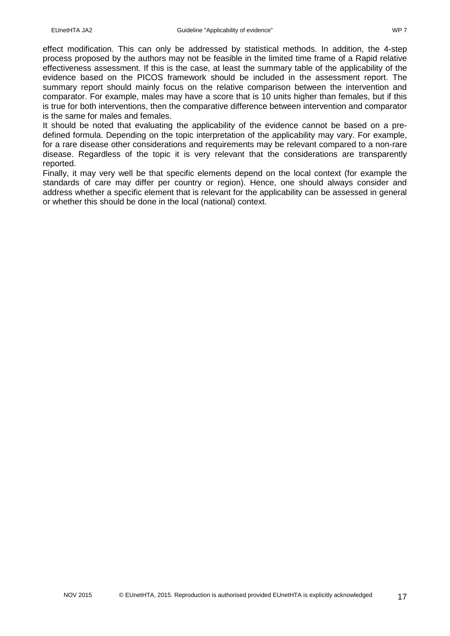effect modification. This can only be addressed by statistical methods. In addition, the 4-step process proposed by the authors may not be feasible in the limited time frame of a Rapid relative effectiveness assessment. If this is the case, at least the summary table of the applicability of the evidence based on the PICOS framework should be included in the assessment report. The summary report should mainly focus on the relative comparison between the intervention and comparator. For example, males may have a score that is 10 units higher than females, but if this is true for both interventions, then the comparative difference between intervention and comparator is the same for males and females.

It should be noted that evaluating the applicability of the evidence cannot be based on a predefined formula. Depending on the topic interpretation of the applicability may vary. For example, for a rare disease other considerations and requirements may be relevant compared to a non-rare disease. Regardless of the topic it is very relevant that the considerations are transparently reported.

Finally, it may very well be that specific elements depend on the local context (for example the standards of care may differ per country or region). Hence, one should always consider and address whether a specific element that is relevant for the applicability can be assessed in general or whether this should be done in the local (national) context.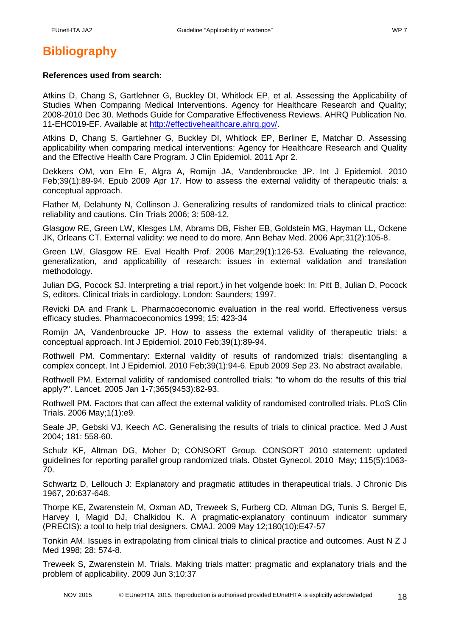# <span id="page-17-0"></span>**Bibliography**

#### **References used from search:**

Atkins D, Chang S, Gartlehner G, Buckley DI, Whitlock EP, et al. Assessing the Applicability of Studies When Comparing Medical Interventions. Agency for Healthcare Research and Quality; 2008-2010 Dec 30. Methods Guide for Comparative Effectiveness Reviews. AHRQ Publication No. 11-EHC019-EF. Available at [http://effectivehealthcare.ahrq.gov/.](http://effectivehealthcare.ahrq.gov/)

Atkins D, Chang S, Gartlehner G, Buckley DI, Whitlock EP, Berliner E, Matchar D. Assessing applicability when comparing medical interventions: Agency for Healthcare Research and Quality and the Effective Health Care Program. J Clin Epidemiol. 2011 Apr 2.

Dekkers OM, von Elm E, Algra A, Romijn JA, Vandenbroucke JP. Int J Epidemiol. 2010 Feb;39(1):89-94. Epub 2009 Apr 17. How to assess the external validity of therapeutic trials: a conceptual approach.

Flather M, Delahunty N, Collinson J. Generalizing results of randomized trials to clinical practice: reliability and cautions. Clin Trials 2006; 3: 508-12.

Glasgow RE, Green LW, Klesges LM, Abrams DB, Fisher EB, Goldstein MG, Hayman LL, Ockene JK, Orleans CT. External validity: we need to do more. Ann Behav Med. 2006 Apr;31(2):105-8.

Green LW, Glasgow RE. Eval Health Prof. 2006 Mar;29(1):126-53. Evaluating the relevance, generalization, and applicability of research: issues in external validation and translation methodology.

Julian DG, Pocock SJ. Interpreting a trial report.) in het volgende boek: In: Pitt B, Julian D, Pocock S, editors. Clinical trials in cardiology. London: Saunders; 1997.

Revicki DA and Frank L. Pharmacoeconomic evaluation in the real world. Effectiveness versus efficacy studies. Pharmacoeconomics 1999; 15: 423-34

Romijn JA, Vandenbroucke JP. How to assess the external validity of therapeutic trials: a conceptual approach. Int J Epidemiol. 2010 Feb;39(1):89-94.

Rothwell PM. Commentary: External validity of results of randomized trials: disentangling a complex concept. Int J Epidemiol. 2010 Feb;39(1):94-6. Epub 2009 Sep 23. No abstract available.

Rothwell PM. External validity of randomised controlled trials: "to whom do the results of this trial apply?". Lancet. 2005 Jan 1-7;365(9453):82-93.

Rothwell PM. Factors that can affect the external validity of randomised controlled trials. PLoS Clin Trials. 2006 May;1(1):e9.

Seale JP, Gebski VJ, Keech AC. Generalising the results of trials to clinical practice. Med J Aust 2004; 181: 558-60.

Schulz KF, Altman DG, Moher D; CONSORT Group. CONSORT 2010 statement: updated guidelines for reporting parallel group randomized trials. Obstet Gynecol. 2010 May; 115(5):1063- 70.

Schwartz D, Lellouch J: Explanatory and pragmatic attitudes in therapeutical trials. J Chronic Dis 1967, 20:637-648.

Thorpe KE, Zwarenstein M, Oxman AD, Treweek S, Furberg CD, Altman DG, Tunis S, Bergel E, Harvey I, Magid DJ, Chalkidou K. A pragmatic-explanatory continuum indicator summary (PRECIS): a tool to help trial designers. CMAJ. 2009 May 12;180(10):E47-57

Tonkin AM. Issues in extrapolating from clinical trials to clinical practice and outcomes. Aust N Z J Med 1998; 28: 574-8.

Treweek S, Zwarenstein M. Trials. Making trials matter: pragmatic and explanatory trials and the problem of applicability. 2009 Jun 3;10:37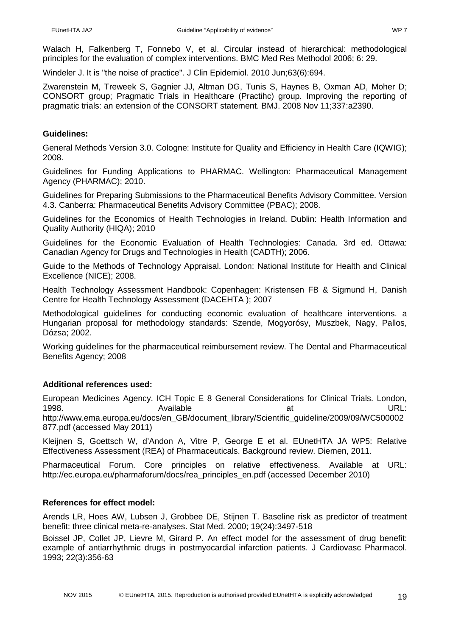Walach H, Falkenberg T, Fonnebo V, et al. Circular instead of hierarchical: methodological principles for the evaluation of complex interventions. BMC Med Res Methodol 2006; 6: 29.

Windeler J. It is "the noise of practice". J Clin Epidemiol. 2010 Jun;63(6):694.

Zwarenstein M, Treweek S, Gagnier JJ, Altman DG, Tunis S, Haynes B, Oxman AD, Moher D; CONSORT group; Pragmatic Trials in Healthcare (Practihc) group. Improving the reporting of pragmatic trials: an extension of the CONSORT statement. BMJ. 2008 Nov 11;337:a2390.

### **Guidelines:**

General Methods Version 3.0. Cologne: Institute for Quality and Efficiency in Health Care (IQWIG); 2008.

Guidelines for Funding Applications to PHARMAC. Wellington: Pharmaceutical Management Agency (PHARMAC); 2010.

Guidelines for Preparing Submissions to the Pharmaceutical Benefits Advisory Committee. Version 4.3. Canberra: Pharmaceutical Benefits Advisory Committee (PBAC); 2008.

Guidelines for the Economics of Health Technologies in Ireland. Dublin: Health Information and Quality Authority (HIQA); 2010

Guidelines for the Economic Evaluation of Health Technologies: Canada. 3rd ed. Ottawa: Canadian Agency for Drugs and Technologies in Health (CADTH); 2006.

Guide to the Methods of Technology Appraisal. London: National Institute for Health and Clinical Excellence (NICE); 2008.

Health Technology Assessment Handbook: Copenhagen: Kristensen FB & Sigmund H, Danish Centre for Health Technology Assessment (DACEHTA ); 2007

Methodological guidelines for conducting economic evaluation of healthcare interventions. a Hungarian proposal for methodology standards: Szende, Mogyorósy, Muszbek, Nagy, Pallos, Dózsa; 2002.

Working guidelines for the pharmaceutical reimbursement review. The Dental and Pharmaceutical Benefits Agency; 2008

### **Additional references used:**

European Medicines Agency. ICH Topic E 8 General Considerations for Clinical Trials. London, 1998. Available at URL:

http://www.ema.europa.eu/docs/en\_GB/document\_library/Scientific\_guideline/2009/09/WC500002 877.pdf (accessed May 2011)

Kleijnen S, Goettsch W, d'Andon A, Vitre P, George E et al. EUnetHTA JA WP5: Relative Effectiveness Assessment (REA) of Pharmaceuticals. Background review. Diemen, 2011.

Pharmaceutical Forum. Core principles on relative effectiveness. Available at URL: http://ec.europa.eu/pharmaforum/docs/rea\_principles\_en.pdf (accessed December 2010)

#### **References for effect model:**

Arends LR, Hoes AW, Lubsen J, Grobbee DE, Stijnen T. Baseline risk as predictor of treatment benefit: three clinical meta-re-analyses. Stat Med. 2000; 19(24):3497-518

Boissel JP, Collet JP, Lievre M, Girard P. An effect model for the assessment of drug benefit: example of antiarrhythmic drugs in postmyocardial infarction patients. J Cardiovasc Pharmacol. 1993; 22(3):356-63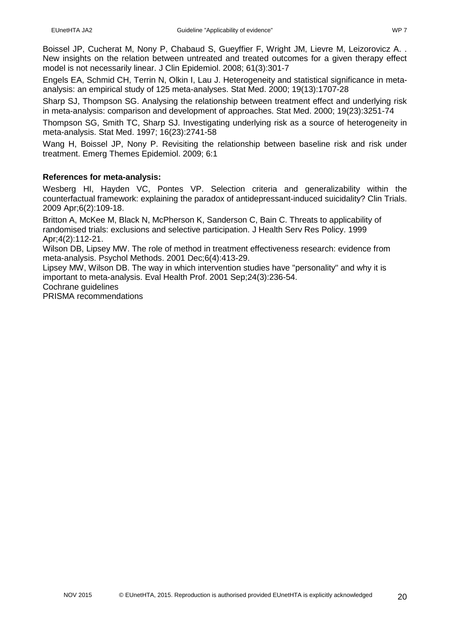Boissel JP, Cucherat M, Nony P, Chabaud S, Gueyffier F, Wright JM, Lievre M, Leizorovicz A. . New insights on the relation between untreated and treated outcomes for a given therapy effect model is not necessarily linear. J Clin Epidemiol. 2008; 61(3):301-7

Engels EA, Schmid CH, Terrin N, Olkin I, Lau J. Heterogeneity and statistical significance in metaanalysis: an empirical study of 125 meta-analyses. Stat Med. 2000; 19(13):1707-28

Sharp SJ, Thompson SG. Analysing the relationship between treatment effect and underlying risk in meta-analysis: comparison and development of approaches. Stat Med. 2000; 19(23):3251-74

Thompson SG, Smith TC, Sharp SJ. Investigating underlying risk as a source of heterogeneity in meta-analysis. Stat Med. 1997; 16(23):2741-58

Wang H, Boissel JP, Nony P. Revisiting the relationship between baseline risk and risk under treatment. Emerg Themes Epidemiol. 2009; 6:1

### **References for meta-analysis:**

Wesberg HI, Hayden VC, Pontes VP. Selection criteria and generalizability within the counterfactual framework: explaining the paradox of antidepressant-induced suicidality? Clin Trials. 2009 Apr;6(2):109-18.

Britton A, McKee M, Black N, McPherson K, Sanderson C, Bain C. Threats to applicability of randomised trials: exclusions and selective participation. J Health Serv Res Policy. 1999 Apr;4(2):112-21.

Wilson DB, Lipsey MW. The role of method in treatment effectiveness research: evidence from meta-analysis. Psychol Methods. 2001 Dec;6(4):413-29.

Lipsey MW, Wilson DB. The way in which intervention studies have "personality" and why it is important to meta-analysis. Eval Health Prof. 2001 Sep;24(3):236-54.

Cochrane guidelines

PRISMA recommendations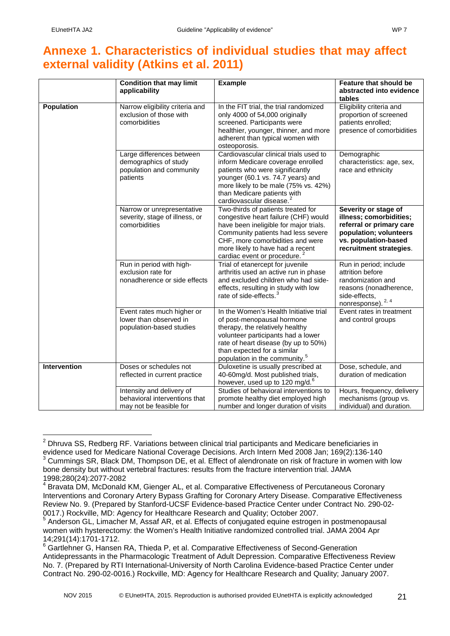# <span id="page-20-0"></span>**Annexe 1. Characteristics of individual studies that may affect external validity (Atkins et al. 2011)**

<span id="page-20-1"></span>

|                   | <b>Condition that may limit</b>                                                            | <b>Example</b>                                                                                                                                                                                                                                                     | Feature that should be                                                                                                                                   |
|-------------------|--------------------------------------------------------------------------------------------|--------------------------------------------------------------------------------------------------------------------------------------------------------------------------------------------------------------------------------------------------------------------|----------------------------------------------------------------------------------------------------------------------------------------------------------|
|                   | applicability                                                                              |                                                                                                                                                                                                                                                                    | abstracted into evidence<br>tables                                                                                                                       |
| <b>Population</b> | Narrow eligibility criteria and<br>exclusion of those with<br>comorbidities                | In the FIT trial, the trial randomized<br>only 4000 of 54,000 originally<br>screened. Participants were<br>healthier, younger, thinner, and more<br>adherent than typical women with<br>osteoporosis.                                                              | Eligibility criteria and<br>proportion of screened<br>patients enrolled;<br>presence of comorbidities                                                    |
|                   | Large differences between<br>demographics of study<br>population and community<br>patients | Cardiovascular clinical trials used to<br>inform Medicare coverage enrolled<br>patients who were significantly<br>younger (60.1 vs. 74.7 years) and<br>more likely to be male (75% vs. 42%)<br>than Medicare patients with<br>cardiovascular disease. <sup>2</sup> | Demographic<br>characteristics: age, sex,<br>race and ethnicity                                                                                          |
|                   | Narrow or unrepresentative<br>severity, stage of illness, or<br>comorbidities              | Two-thirds of patients treated for<br>congestive heart failure (CHF) would<br>have been ineligible for major trials.<br>Community patients had less severe<br>CHF, more comorbidities and were<br>more likely to have had a recent<br>cardiac event or procedure.  | Severity or stage of<br>illness; comorbidities;<br>referral or primary care<br>population; volunteers<br>vs. population-based<br>recruitment strategies. |
|                   | Run in period with high-<br>exclusion rate for<br>nonadherence or side effects             | Trial of etanercept for juvenile<br>arthritis used an active run in phase<br>and excluded children who had side-<br>effects, resulting in study with low<br>rate of side-effects. <sup>3</sup>                                                                     | Run in period; include<br>attrition before<br>randomization and<br>reasons (nonadherence,<br>side-effects,<br>nonresponse). 2, 4                         |
|                   | Event rates much higher or<br>lower than observed in<br>population-based studies           | In the Women's Health Initiative trial<br>of post-menopausal hormone<br>therapy, the relatively healthy<br>volunteer participants had a lower<br>rate of heart disease (by up to 50%)<br>than expected for a similar<br>population in the community. <sup>5</sup>  | Event rates in treatment<br>and control groups                                                                                                           |
| Intervention      | Doses or schedules not<br>reflected in current practice                                    | Duloxetine is usually prescribed at<br>40-60mg/d. Most published trials,<br>however, used up to 120 mg/d. <sup>6</sup>                                                                                                                                             | Dose, schedule, and<br>duration of medication                                                                                                            |
|                   | Intensity and delivery of<br>behavioral interventions that<br>may not be feasible for      | Studies of behavioral interventions to<br>promote healthy diet employed high<br>number and longer duration of visits                                                                                                                                               | Hours, frequency, delivery<br>mechanisms (group vs.<br>individual) and duration.                                                                         |

<span id="page-20-7"></span><span id="page-20-3"></span><span id="page-20-2"></span> $2$  Dhruva SS, Redberg RF. Variations between clinical trial participants and Medicare beneficiaries in evidence used for Medicare National Coverage Decisions. Arch Intern Med 2008 Jan; 169(2):136-140 <sup>3</sup> Cummings SR, Black DM, Thompson DE, et al. Effect of alendronate on risk of fracture in women with low bone density but without vertebral fractures: results from the fracture intervention trial. JAMA 1998;280(24):2077-2082

<span id="page-20-4"></span><sup>&</sup>lt;sup>4</sup> Bravata DM, McDonald KM, Gienger AL, et al. Comparative Effectiveness of Percutaneous Coronary Interventions and Coronary Artery Bypass Grafting for Coronary Artery Disease. Comparative Effectiveness Review No. 9. (Prepared by Stanford-UCSF Evidence-based Practice Center under Contract No. 290-02-

<span id="page-20-5"></span><sup>0017.)</sup> Rockville, MD: Agency for Healthcare Research and Quality; October 2007.<br><sup>5</sup> Anderson GL, Limacher M, Assaf AR, et al. Effects of conjugated equine estrogen in postmenopausal women with hysterectomy: the Women's Health Initiative randomized controlled trial. JAMA 2004 Apr 14;291(14):1701-1712.

<span id="page-20-6"></span> $6$  Gartlehner G, Hansen RA, Thieda P, et al. Comparative Effectiveness of Second-Generation Antidepressants in the Pharmacologic Treatment of Adult Depression. Comparative Effectiveness Review No. 7. (Prepared by RTI International-University of North Carolina Evidence-based Practice Center under Contract No. 290-02-0016.) Rockville, MD: Agency for Healthcare Research and Quality; January 2007.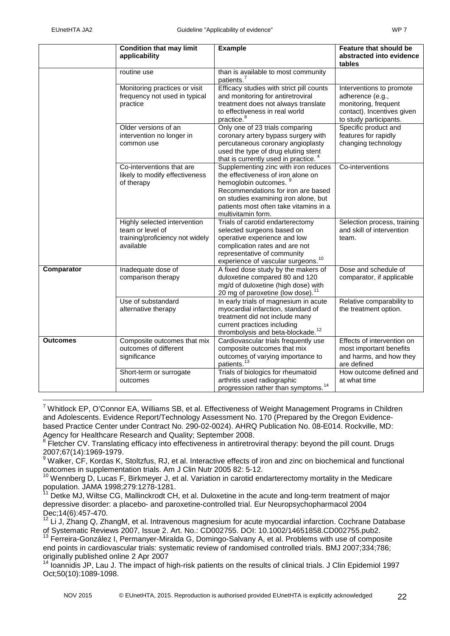|                 | <b>Condition that may limit</b><br>applicability                                                 | <b>Example</b>                                                                                                                                                                                                                                                | Feature that should be<br>abstracted into evidence<br>tables                                                                 |
|-----------------|--------------------------------------------------------------------------------------------------|---------------------------------------------------------------------------------------------------------------------------------------------------------------------------------------------------------------------------------------------------------------|------------------------------------------------------------------------------------------------------------------------------|
|                 | routine use                                                                                      | than is available to most community<br>patients. <sup>7</sup>                                                                                                                                                                                                 |                                                                                                                              |
|                 | Monitoring practices or visit<br>frequency not used in typical<br>practice                       | Efficacy studies with strict pill counts<br>and monitoring for antiretroviral<br>treatment does not always translate<br>to effectiveness in real world<br>practice. <sup>8</sup>                                                                              | Interventions to promote<br>adherence (e.g.,<br>monitoring, frequent<br>contact). Incentives given<br>to study participants. |
|                 | Older versions of an<br>intervention no longer in<br>common use                                  | Only one of 23 trials comparing<br>coronary artery bypass surgery with<br>percutaneous coronary angioplasty<br>used the type of drug eluting stent<br>that is currently used in practice. <sup>4</sup>                                                        | Specific product and<br>features for rapidly<br>changing technology                                                          |
|                 | Co-interventions that are<br>likely to modify effectiveness<br>of therapy                        | Supplementing zinc with iron reduces<br>the effectiveness of iron alone on<br>hemoglobin outcomes. <sup>9</sup><br>Recommendations for iron are based<br>on studies examining iron alone, but<br>patients most often take vitamins in a<br>multivitamin form. | Co-interventions                                                                                                             |
|                 | Highly selected intervention<br>team or level of<br>training/proficiency not widely<br>available | Trials of carotid endarterectomy<br>selected surgeons based on<br>operative experience and low<br>complication rates and are not<br>representative of community<br>experience of vascular surgeons. <sup>10</sup>                                             | Selection process, training<br>and skill of intervention<br>team.                                                            |
| Comparator      | Inadequate dose of<br>comparison therapy                                                         | A fixed dose study by the makers of<br>duloxetine compared 80 and 120<br>mg/d of duloxetine (high dose) with<br>20 mg of paroxetine (low dose). <sup>11</sup>                                                                                                 | Dose and schedule of<br>comparator, if applicable                                                                            |
|                 | Use of substandard<br>alternative therapy                                                        | In early trials of magnesium in acute<br>myocardial infarction, standard of<br>treatment did not include many<br>current practices including<br>thrombolysis and beta-blockade. <sup>12</sup>                                                                 | Relative comparability to<br>the treatment option.                                                                           |
| <b>Outcomes</b> | Composite outcomes that mix<br>outcomes of different<br>significance                             | Cardiovascular trials frequently use<br>composite outcomes that mix<br>outcomes of varying importance to<br>patients. <sup>1</sup>                                                                                                                            | Effects of intervention on<br>most important benefits<br>and harms, and how they<br>are defined                              |
|                 | Short-term or surrogate<br>outcomes                                                              | Trials of biologics for rheumatoid<br>arthritis used radiographic<br>progression rather than symptoms. <sup>14</sup>                                                                                                                                          | How outcome defined and<br>at what time                                                                                      |

<span id="page-21-0"></span><sup>7</sup> Whitlock EP, O'Connor EA, Williams SB, et al. Effectiveness of Weight Management Programs in Children and Adolescents. Evidence Report/Technology Assessment No. 170 (Prepared by the Oregon Evidencebased Practice Center under Contract No. 290-02-0024). AHRQ Publication No. 08-E014. Rockville, MD: Agency for Healthcare Research and Quality; September 2008.

<span id="page-21-1"></span><sup>8</sup> Fletcher CV. Translating efficacy into effectiveness in antiretroviral therapy: beyond the pill count. Drugs 2007;67(14):1969-1979.

<span id="page-21-2"></span><sup>&</sup>lt;sup>9</sup> Walker, CF, Kordas K, Stoltzfus, RJ, et al. Interactive effects of iron and zinc on biochemical and functional outcomes in supplementation trials. Am J Clin Nutr 2005 82: 5-12.

<span id="page-21-3"></span> $10$  Wennberg D, Lucas F, Birkmeyer J, et al. Variation in carotid endarterectomy mortality in the Medicare population. JAMA 1998;279:1278-1281.

<span id="page-21-4"></span>Detke MJ, Wiltse CG, Mallinckrodt CH, et al. Duloxetine in the acute and long-term treatment of major depressive disorder: a placebo- and paroxetine-controlled trial. Eur Neuropsychopharmacol 2004 Dec;14(6):457-470.

<span id="page-21-5"></span> $12$  Li J, Zhang Q, ZhangM, et al. Intravenous magnesium for acute myocardial infarction. Cochrane Database of Systematic Reviews 2007. Issue 2. Art. No.: CD002755. DOI: 10.1002/14651858.CD002755.pub2.

<span id="page-21-6"></span><sup>&</sup>lt;sup>13</sup> Ferreira-González I, Permanyer-Miralda G, Domingo-Salvany A, et al. Problems with use of composite end points in cardiovascular trials: systematic review of randomised controlled trials. BMJ 2007;334;786; originally published online 2 Apr 2007

<span id="page-21-7"></span><sup>&</sup>lt;sup>14</sup> Ioannidis JP, Lau J. The impact of high-risk patients on the results of clinical trials. J Clin Epidemiol 1997 Oct;50(10):1089-1098.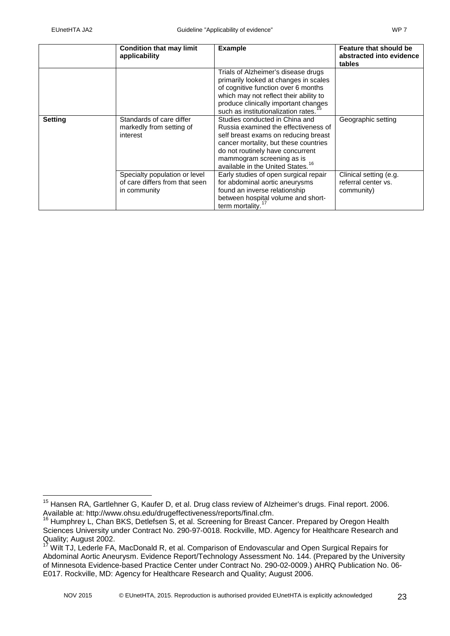|                | <b>Condition that may limit</b><br>applicability                                | <b>Example</b>                                                                                                                                                                                                                                                            | Feature that should be<br>abstracted into evidence<br>tables |
|----------------|---------------------------------------------------------------------------------|---------------------------------------------------------------------------------------------------------------------------------------------------------------------------------------------------------------------------------------------------------------------------|--------------------------------------------------------------|
|                |                                                                                 | Trials of Alzheimer's disease drugs<br>primarily looked at changes in scales<br>of cognitive function over 6 months<br>which may not reflect their ability to<br>produce clinically important changes<br>such as institutionalization rates. <sup>15</sup>                |                                                              |
| <b>Setting</b> | Standards of care differ<br>markedly from setting of<br>interest                | Studies conducted in China and<br>Russia examined the effectiveness of<br>self breast exams on reducing breast<br>cancer mortality, but these countries<br>do not routinely have concurrent<br>mammogram screening as is<br>available in the United States. <sup>16</sup> | Geographic setting                                           |
|                | Specialty population or level<br>of care differs from that seen<br>in community | Early studies of open surgical repair<br>for abdominal aortic aneurysms<br>found an inverse relationship<br>between hospital volume and short-<br>term mortality.                                                                                                         | Clinical setting (e.g.<br>referral center vs.<br>community)  |

<span id="page-22-0"></span><sup>&</sup>lt;sup>15</sup> Hansen RA, Gartlehner G, Kaufer D, et al. Drug class review of Alzheimer's drugs. Final report. 2006. Available at: http://www.ohsu.edu/drugeffectiveness/reports/final.cfm.

<span id="page-22-1"></span><sup>&</sup>lt;sup>16</sup> Humphrey L, Chan BKS, Detlefsen S, et al. Screening for Breast Cancer. Prepared by Oregon Health Sciences University under Contract No. 290-97-0018. Rockville, MD. Agency for Healthcare Research and Quality; August 2002.

<span id="page-22-2"></span>Wilt TJ, Lederle FA, MacDonald R, et al. Comparison of Endovascular and Open Surgical Repairs for Abdominal Aortic Aneurysm. Evidence Report/Technology Assessment No. 144. (Prepared by the University of Minnesota Evidence-based Practice Center under Contract No. 290-02-0009.) AHRQ Publication No. 06- E017. Rockville, MD: Agency for Healthcare Research and Quality; August 2006.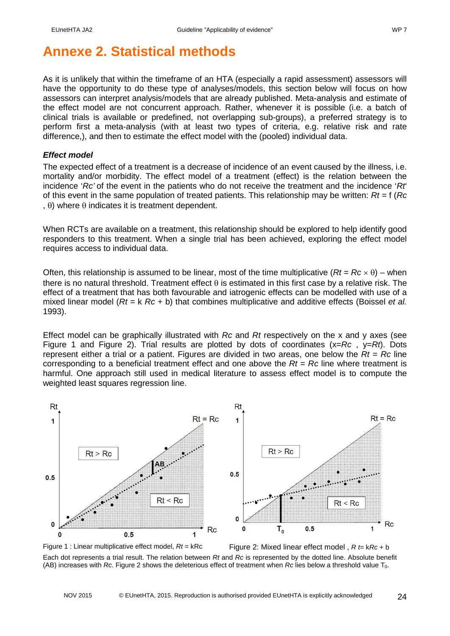# <span id="page-23-0"></span>**Annexe 2. Statistical methods**

As it is unlikely that within the timeframe of an HTA (especially a rapid assessment) assessors will have the opportunity to do these type of analyses/models, this section below will focus on how assessors can interpret analysis/models that are already published. Meta-analysis and estimate of the effect model are not concurrent approach. Rather, whenever it is possible (i.e. a batch of clinical trials is available or predefined, not overlapping sub-groups), a preferred strategy is to perform first a meta-analysis (with at least two types of criteria, e.g. relative risk and rate difference,), and then to estimate the effect model with the (pooled) individual data.

#### *Effect model*

The expected effect of a treatment is a decrease of incidence of an event caused by the illness, i.e. mortality and/or morbidity. The effect model of a treatment (effect) is the relation between the incidence '*Rc'* of the event in the patients who do not receive the treatment and the incidence '*Rt*' of this event in the same population of treated patients. This relationship may be written: *Rt* = f (*Rc*  , θ) where θ indicates it is treatment dependent.

When RCTs are available on a treatment, this relationship should be explored to help identify good responders to this treatment. When a single trial has been achieved, exploring the effect model requires access to individual data.

Often, this relationship is assumed to be linear, most of the time multiplicative  $(Rt = Rc \times θ)$  – when there is no natural threshold. Treatment effect  $\theta$  is estimated in this first case by a relative risk. The effect of a treatment that has both favourable and iatrogenic effects can be modelled with use of a mixed linear model (*Rt* = k *Rc* + b) that combines multiplicative and additive effects (Boissel *et al.* 1993).

Effect model can be graphically illustrated with *Rc* and *Rt* respectively on the x and y axes (see Figure 1 and Figure 2). Trial results are plotted by dots of coordinates (x=*Rc* , y=*Rt*). Dots represent either a trial or a patient. Figures are divided in two areas, one below the *Rt* = *Rc* line corresponding to a beneficial treatment effect and one above the *Rt* = *Rc* line where treatment is harmful. One approach still used in medical literature to assess effect model is to compute the weighted least squares regression line.



Figure 1 : Linear multiplicative effect model,  $Rt = kRc$  Figure 2: Mixed linear effect model ,  $R \neq kRc + b$ Each dot represents a trial result. The relation between *Rt* and *Rc* is represented by the dotted line. Absolute benefit (AB) increases with *Rc*. Figure 2 shows the deleterious effect of treatment when *Rc* lies below a threshold value T0.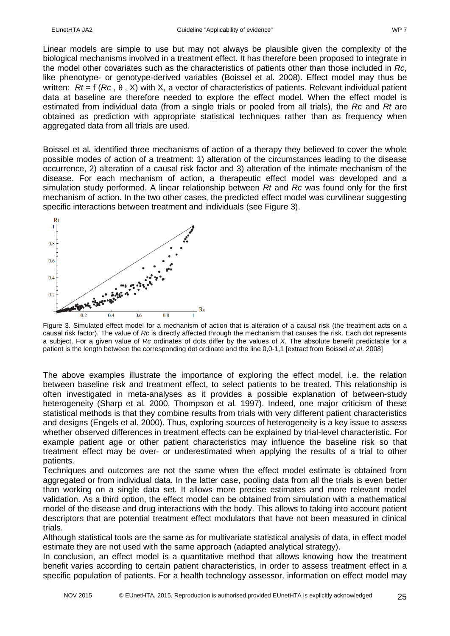Linear models are simple to use but may not always be plausible given the complexity of the biological mechanisms involved in a treatment effect. It has therefore been proposed to integrate in the model other covariates such as the characteristics of patients other than those included in *Rc*, like phenotype- or genotype-derived variables (Boissel et al*.* 2008). Effect model may thus be written: *Rt* = f (*Rc* , θ , X) with X, a vector of characteristics of patients. Relevant individual patient data at baseline are therefore needed to explore the effect model. When the effect model is estimated from individual data (from a single trials or pooled from all trials), the *Rc* and *Rt* are obtained as prediction with appropriate statistical techniques rather than as frequency when aggregated data from all trials are used.

Boissel et al*.* identified three mechanisms of action of a therapy they believed to cover the whole possible modes of action of a treatment: 1) alteration of the circumstances leading to the disease occurrence, 2) alteration of a causal risk factor and 3) alteration of the intimate mechanism of the disease. For each mechanism of action, a therapeutic effect model was developed and a simulation study performed. A linear relationship between *Rt* and *Rc* was found only for the first mechanism of action. In the two other cases, the predicted effect model was curvilinear suggesting specific interactions between treatment and individuals (see Figure 3).



Figure 3. Simulated effect model for a mechanism of action that is alteration of a causal risk (the treatment acts on a causal risk factor). The value of *Rc* is directly affected through the mechanism that causes the risk. Each dot represents a subject. For a given value of *Rc* ordinates of dots differ by the values of *X*. The absolute benefit predictable for a patient is the length between the corresponding dot ordinate and the line 0,0-1,1 [extract from Boissel *et al*. 2008]

The above examples illustrate the importance of exploring the effect model, i.e. the relation between baseline risk and treatment effect, to select patients to be treated. This relationship is often investigated in meta-analyses as it provides a possible explanation of between-study heterogeneity (Sharp et al*.* 2000, Thompson et al*.* 1997). Indeed, one major criticism of these statistical methods is that they combine results from trials with very different patient characteristics and designs (Engels et al. 2000). Thus, exploring sources of heterogeneity is a key issue to assess whether observed differences in treatment effects can be explained by trial-level characteristic. For example patient age or other patient characteristics may influence the baseline risk so that treatment effect may be over- or underestimated when applying the results of a trial to other patients.

Techniques and outcomes are not the same when the effect model estimate is obtained from aggregated or from individual data. In the latter case, pooling data from all the trials is even better than working on a single data set. It allows more precise estimates and more relevant model validation. As a third option, the effect model can be obtained from simulation with a mathematical model of the disease and drug interactions with the body. This allows to taking into account patient descriptors that are potential treatment effect modulators that have not been measured in clinical trials.

Although statistical tools are the same as for multivariate statistical analysis of data, in effect model estimate they are not used with the same approach (adapted analytical strategy).

In conclusion, an effect model is a quantitative method that allows knowing how the treatment benefit varies according to certain patient characteristics, in order to assess treatment effect in a specific population of patients. For a health technology assessor, information on effect model may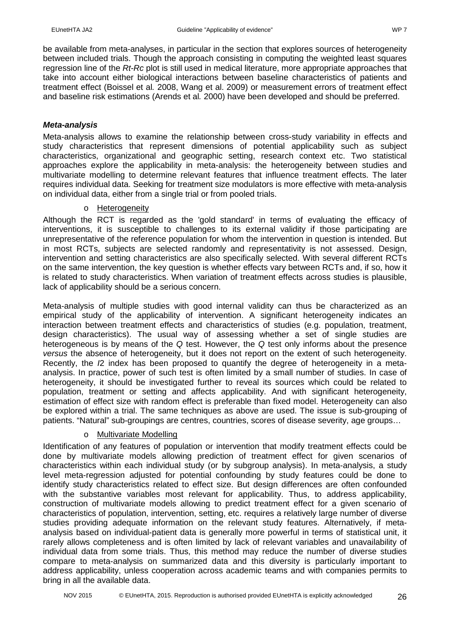be available from meta-analyses, in particular in the section that explores sources of heterogeneity between included trials. Though the approach consisting in computing the weighted least squares regression line of the *Rt*-*Rc* plot is still used in medical literature, more appropriate approaches that take into account either biological interactions between baseline characteristics of patients and treatment effect (Boissel et al*.* 2008, Wang et al. 2009) or measurement errors of treatment effect and baseline risk estimations (Arends et al*.* 2000) have been developed and should be preferred.

### *Meta-analysis*

Meta-analysis allows to examine the relationship between cross-study variability in effects and study characteristics that represent dimensions of potential applicability such as subject characteristics, organizational and geographic setting, research context etc. Two statistical approaches explore the applicability in meta-analysis: the heterogeneity between studies and multivariate modelling to determine relevant features that influence treatment effects. The later requires individual data. Seeking for treatment size modulators is more effective with meta-analysis on individual data, either from a single trial or from pooled trials.

### o Heterogeneity

Although the RCT is regarded as the 'gold standard' in terms of evaluating the efficacy of interventions, it is susceptible to challenges to its external validity if those participating are unrepresentative of the reference population for whom the intervention in question is intended. But in most RCTs, subjects are selected randomly and representativity is not assessed. Design, intervention and setting characteristics are also specifically selected. With several different RCTs on the same intervention, the key question is whether effects vary between RCTs and, if so, how it is related to study characteristics. When variation of treatment effects across studies is plausible, lack of applicability should be a serious concern.

Meta-analysis of multiple studies with good internal validity can thus be characterized as an empirical study of the applicability of intervention. A significant heterogeneity indicates an interaction between treatment effects and characteristics of studies (e.g. population, treatment, design characteristics). The usual way of assessing whether a set of single studies are heterogeneous is by means of the *Q* test. However, the *Q* test only informs about the presence *versus* the absence of heterogeneity, but it does not report on the extent of such heterogeneity. Recently, the *I*2 index has been proposed to quantify the degree of heterogeneity in a metaanalysis. In practice, power of such test is often limited by a small number of studies. In case of heterogeneity, it should be investigated further to reveal its sources which could be related to population, treatment or setting and affects applicability. And with significant heterogeneity, estimation of effect size with random effect is preferable than fixed model. Heterogeneity can also be explored within a trial. The same techniques as above are used. The issue is sub-grouping of patients. "Natural" sub-groupings are centres, countries, scores of disease severity, age groups…

### o Multivariate Modelling

Identification of any features of population or intervention that modify treatment effects could be done by multivariate models allowing prediction of treatment effect for given scenarios of characteristics within each individual study (or by subgroup analysis). In meta-analysis, a study level meta-regression adjusted for potential confounding by study features could be done to identify study characteristics related to effect size. But design differences are often confounded with the substantive variables most relevant for applicability. Thus, to address applicability, construction of multivariate models allowing to predict treatment effect for a given scenario of characteristics of population, intervention, setting, etc. requires a relatively large number of diverse studies providing adequate information on the relevant study features. Alternatively, if metaanalysis based on individual-patient data is generally more powerful in terms of statistical unit, it rarely allows completeness and is often limited by lack of relevant variables and unavailability of individual data from some trials. Thus, this method may reduce the number of diverse studies compare to meta-analysis on summarized data and this diversity is particularly important to address applicability, unless cooperation across academic teams and with companies permits to bring in all the available data.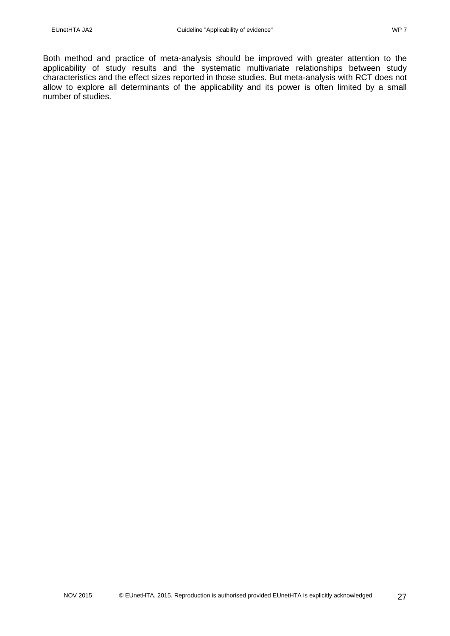Both method and practice of meta-analysis should be improved with greater attention to the applicability of study results and the systematic multivariate relationships between study characteristics and the effect sizes reported in those studies. But meta-analysis with RCT does not allow to explore all determinants of the applicability and its power is often limited by a small number of studies.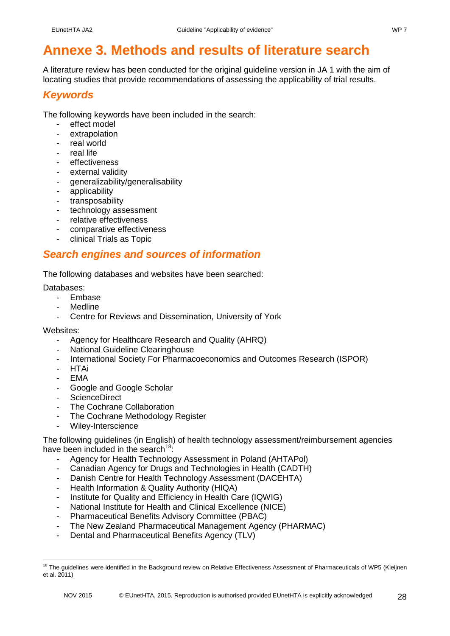# <span id="page-27-0"></span>**Annexe 3. Methods and results of literature search**

A literature review has been conducted for the original guideline version in JA 1 with the aim of locating studies that provide recommendations of assessing the applicability of trial results.

# <span id="page-27-1"></span>*Keywords*

The following keywords have been included in the search:

- effect model
- extrapolation
- real world
- real life
- effectiveness
- external validity
- generalizability/generalisability
- applicability
- transposability
- technology assessment
- relative effectiveness
- comparative effectiveness
- clinical Trials as Topic

### <span id="page-27-2"></span>*Search engines and sources of information*

The following databases and websites have been searched:

### Databases:

- **Embase**
- **Medline**
- Centre for Reviews and Dissemination, University of York

#### Websites:

- Agency for Healthcare Research and Quality (AHRQ)
- **National Guideline Clearinghouse**
- International Society For Pharmacoeconomics and Outcomes Research (ISPOR)
- **HTAi**
- EMA
- Google and Google Scholar
- ScienceDirect
- The Cochrane Collaboration
- The Cochrane Methodology Register
- Wiley-Interscience

The following guidelines (in English) of health technology assessment/reimbursement agencies have been included in the search<sup>[18:](#page-27-3)</sup>

- Agency for Health Technology Assessment in Poland (AHTAPol)
- Canadian Agency for Drugs and Technologies in Health (CADTH)
- Danish Centre for Health Technology Assessment (DACEHTA)
- Health Information & Quality Authority (HIQA)
- Institute for Quality and Efficiency in Health Care (IQWIG)
- National Institute for Health and Clinical Excellence (NICE)
- Pharmaceutical Benefits Advisory Committee (PBAC)
- The New Zealand Pharmaceutical Management Agency (PHARMAC)
- Dental and Pharmaceutical Benefits Agency (TLV)

<span id="page-27-3"></span><sup>&</sup>lt;sup>18</sup> The guidelines were identified in the Background review on Relative Effectiveness Assessment of Pharmaceuticals of WP5 (Kleijnen et al. 2011)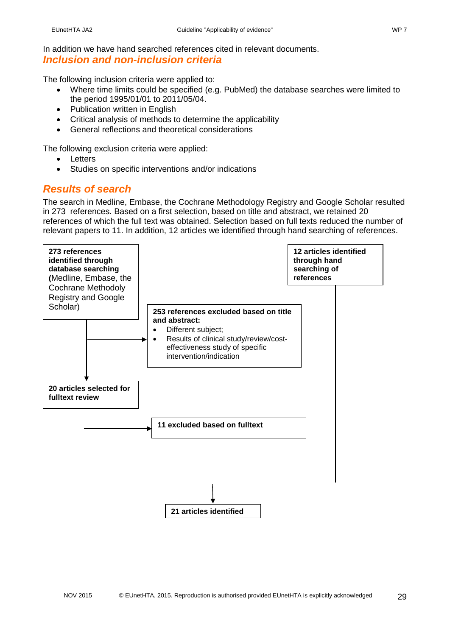In addition we have hand searched references cited in relevant documents.

### <span id="page-28-0"></span>*Inclusion and non-inclusion criteria*

The following inclusion criteria were applied to:

- Where time limits could be specified (e.g. PubMed) the database searches were limited to the period 1995/01/01 to 2011/05/04.
- Publication written in English
- Critical analysis of methods to determine the applicability
- General reflections and theoretical considerations

The following exclusion criteria were applied:

- Letters
- Studies on specific interventions and/or indications

# <span id="page-28-1"></span>*Results of search*

The search in Medline, Embase, the Cochrane Methodology Registry and Google Scholar resulted in 273 references. Based on a first selection, based on title and abstract, we retained 20 references of which the full text was obtained. Selection based on full texts reduced the number of relevant papers to 11. In addition, 12 articles we identified through hand searching of references.

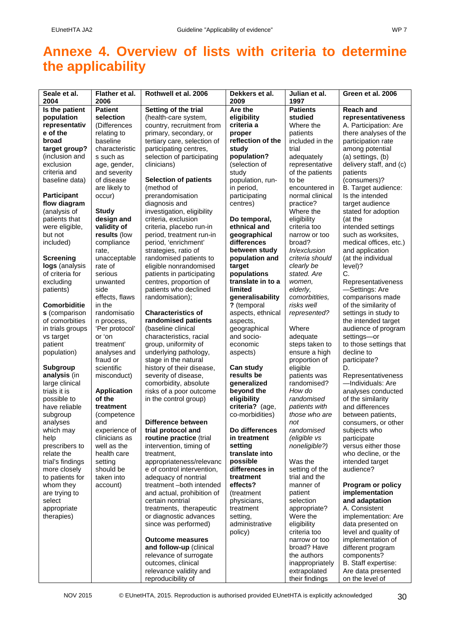# <span id="page-29-0"></span>**Annexe 4. Overview of lists with criteria to determine the applicability**

|                              |                            |                                                    |                            |                                 | Green et al. 2006                     |
|------------------------------|----------------------------|----------------------------------------------------|----------------------------|---------------------------------|---------------------------------------|
| Seale et al.<br>2004         | Flather et al.<br>2006     | Rothwell et al. 2006                               | Dekkers et al.<br>2009     | Julian et al.<br>1997           |                                       |
| Is the patient               | <b>Patient</b>             | Setting of the trial                               | Are the                    | <b>Patients</b>                 | <b>Reach and</b>                      |
| population                   | selection                  | (health-care system,                               | eligibility                | studied                         | representativeness                    |
| representativ                | (Differences               | country, recruitment from                          | criteria a                 | Where the                       | A. Participation: Are                 |
| e of the                     | relating to                | primary, secondary, or                             | proper                     | patients                        | there analyses of the                 |
| broad                        | baseline                   | tertiary care, selection of                        | reflection of the          | included in the                 | participation rate                    |
| target group?                | characteristic             | participating centres,                             | study                      | trial                           | among potential                       |
| (inclusion and               | s such as                  | selection of participating                         | population?                | adequately                      | (a) settings, (b)                     |
| exclusion                    | age, gender,               | clinicians)                                        | (selection of              | representative                  | delivery staff, and (c)               |
| criteria and                 | and severity<br>of disease |                                                    | study<br>population, run-  | of the patients<br>to be        | patients                              |
| baseline data)               | are likely to              | <b>Selection of patients</b><br>(method of         | in period,                 | encountered in                  | (consumers)?<br>B. Target audience:   |
| <b>Participant</b>           | occur)                     | prerandomisation                                   | participating              | normal clinical                 | Is the intended                       |
| flow diagram                 |                            | diagnosis and                                      | centres)                   | practice?                       | target audience                       |
| (analysis of                 | <b>Study</b>               | investigation, eligibility                         |                            | Where the                       | stated for adoption                   |
| patients that                | design and                 | criteria, exclusion                                | Do temporal,               | eligibility                     | (at the                               |
| were eligible,               | validity of                | criteria, placebo run-in                           | ethnical and               | criteria too                    | intended settings                     |
| but not                      | results (low               | period, treatment run-in                           | geographical               | narrow or too                   | such as worksites,                    |
| included)                    | compliance                 | period, 'enrichment'                               | differences                | broad?                          | medical offices, etc.)                |
|                              | rate,                      | strategies, ratio of                               | between study              | <i>In/exclusion</i>             | and application                       |
| <b>Screening</b>             | unacceptable               | randomised patients to                             | population and             | criteria should                 | (at the individual                    |
| logs (analysis               | rate of                    | eligible nonrandomised                             | target                     | clearly be                      | level)?                               |
| of criteria for              | serious                    | patients in participating                          | populations                | stated. Are                     | C.                                    |
| excluding                    | unwanted                   | centres, proportion of                             | translate in to a          | women,                          | Representativeness                    |
| patients)                    | side                       | patients who declined                              | limited                    | elderly,                        | -Settings: Are                        |
|                              | effects, flaws             | randomisation);                                    | generalisability           | comorbitities.                  | comparisons made                      |
| <b>Comorbiditie</b>          | in the                     |                                                    | ? (temporal                | risks well                      | of the similarity of                  |
| s (comparison                | randomisatio               | <b>Characteristics of</b>                          | aspects, ethnical          | represented?                    | settings in study to                  |
| of comorbities               | n process,                 | randomised patients                                | aspects,                   |                                 | the intended target                   |
| in trials groups             | 'Per protocol'<br>or 'on   | (baseline clinical                                 | geographical<br>and socio- | Where                           | audience of program                   |
| vs target<br>patient         | treatment'                 | characteristics, racial<br>group, uniformity of    | economic                   | adequate<br>steps taken to      | settings-or<br>to those settings that |
| population)                  | analyses and               | underlying pathology,                              | aspects)                   | ensure a high                   | decline to                            |
|                              | fraud or                   | stage in the natural                               |                            | proportion of                   | participate?                          |
| <b>Subgroup</b>              | scientific                 | history of their disease,                          | Can study                  | eligible                        | D.                                    |
| analysis (in                 | misconduct)                | severity of disease,                               | results be                 | patients was                    | Representativeness                    |
| large clinical               |                            | comorbidity, absolute                              | generalized                | randomised?                     | -Individuals: Are                     |
| trials it is                 | <b>Application</b>         | risks of a poor outcome                            | beyond the                 | How do                          | analyses conducted                    |
| possible to                  | of the                     | in the control group)                              | eligibility                | randomised                      | of the similarity                     |
| have reliable                | treatment                  |                                                    | criteria? (age,            | patients with                   | and differences                       |
| subgroup                     | (competence                |                                                    | co-morbidities)            | those who are                   | between patients,                     |
| analyses                     | and                        | Difference between                                 |                            | not                             | consumers, or other                   |
| which may                    | experience of              | trial protocol and                                 | Do differences             | randomised                      | subjects who                          |
| help                         | clinicians as              | routine practice (trial                            | in treatment               | (eligible vs                    | participate                           |
| prescribers to               | well as the                | intervention, timing of                            | setting                    | noneligible?)                   | versus either those                   |
| relate the                   | health care                | treatment,                                         | translate into             |                                 | who decline, or the                   |
| trial's findings             | setting                    | appropriateness/relevanc                           | possible<br>differences in | Was the                         | intended target                       |
| more closely                 | should be<br>taken into    | e of control intervention,<br>adequacy of nontrial | treatment                  | setting of the<br>trial and the | audience?                             |
| to patients for<br>whom they | account)                   | treatment-both intended                            | effects?                   | manner of                       | Program or policy                     |
| are trying to                |                            | and actual, prohibition of                         | (treatment                 | patient                         | implementation                        |
| select                       |                            | certain nontrial                                   | physicians,                | selection                       | and adaptation                        |
| appropriate                  |                            | treatments, therapeutic                            | treatment                  | appropriate?                    | A. Consistent                         |
| therapies)                   |                            | or diagnostic advances                             | setting,                   | Were the                        | implementation: Are                   |
|                              |                            | since was performed)                               | administrative             | eligibility                     | data presented on                     |
|                              |                            |                                                    | policy)                    | criteria too                    | level and quality of                  |
|                              |                            | <b>Outcome measures</b>                            |                            | narrow or too                   | implementation of                     |
|                              |                            | and follow-up (clinical                            |                            | broad? Have                     | different program                     |
|                              |                            | relevance of surrogate                             |                            | the authors                     | components?                           |
|                              |                            | outcomes, clinical                                 |                            | inappropriately                 | B. Staff expertise:                   |
|                              |                            | relevance validity and                             |                            | extrapolated                    | Are data presented                    |
|                              |                            | reproducibility of                                 |                            | their findings                  | on the level of                       |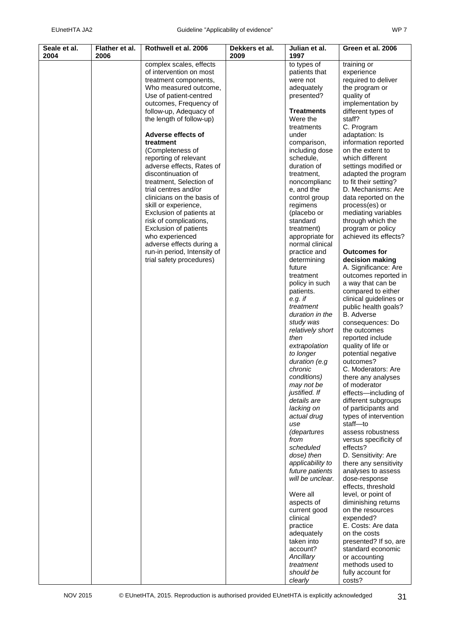| ۰, |  |
|----|--|
|----|--|

| Seale et al.<br>2004 | Flather et al. | Rothwell et al. 2006                               | Dekkers et al. | Julian et al.                 | Green et al. 2006                        |
|----------------------|----------------|----------------------------------------------------|----------------|-------------------------------|------------------------------------------|
|                      | 2006           |                                                    | 2009           | 1997                          |                                          |
|                      |                | complex scales, effects<br>of intervention on most |                | to types of                   | training or                              |
|                      |                |                                                    |                | patients that<br>were not     | experience                               |
|                      |                | treatment components,<br>Who measured outcome,     |                | adequately                    | required to deliver<br>the program or    |
|                      |                | Use of patient-centred                             |                | presented?                    | quality of                               |
|                      |                | outcomes, Frequency of                             |                |                               | implementation by                        |
|                      |                | follow-up, Adequacy of                             |                | <b>Treatments</b>             | different types of                       |
|                      |                | the length of follow-up)                           |                | Were the                      | staff?                                   |
|                      |                |                                                    |                | treatments                    | C. Program                               |
|                      |                | Adverse effects of                                 |                | under                         | adaptation: Is                           |
|                      |                | treatment                                          |                | comparison,                   | information reported                     |
|                      |                | (Completeness of                                   |                | including dose                | on the extent to                         |
|                      |                | reporting of relevant                              |                | schedule,                     | which different                          |
|                      |                | adverse effects, Rates of                          |                | duration of                   | settings modified or                     |
|                      |                | discontinuation of                                 |                | treatment,                    | adapted the program                      |
|                      |                | treatment, Selection of                            |                | noncomplianc                  | to fit their setting?                    |
|                      |                | trial centres and/or                               |                | e, and the                    | D. Mechanisms: Are                       |
|                      |                | clinicians on the basis of                         |                | control group                 | data reported on the                     |
|                      |                | skill or experience,                               |                | regimens                      | process(es) or                           |
|                      |                | Exclusion of patients at                           |                | (placebo or<br>standard       | mediating variables                      |
|                      |                | risk of complications,<br>Exclusion of patients    |                |                               | through which the<br>program or policy   |
|                      |                | who experienced                                    |                | treatment)<br>appropriate for | achieved its effects?                    |
|                      |                | adverse effects during a                           |                | normal clinical               |                                          |
|                      |                | run-in period, Intensity of                        |                | practice and                  | <b>Outcomes for</b>                      |
|                      |                | trial safety procedures)                           |                | determining                   | decision making                          |
|                      |                |                                                    |                | future                        | A. Significance: Are                     |
|                      |                |                                                    |                | treatment                     | outcomes reported in                     |
|                      |                |                                                    |                | policy in such                | a way that can be                        |
|                      |                |                                                    |                | patients.                     | compared to either                       |
|                      |                |                                                    |                | $e.g.$ if                     | clinical guidelines or                   |
|                      |                |                                                    |                | treatment                     | public health goals?                     |
|                      |                |                                                    |                | duration in the               | <b>B.</b> Adverse                        |
|                      |                |                                                    |                | study was                     | consequences: Do                         |
|                      |                |                                                    |                | relatively short              | the outcomes                             |
|                      |                |                                                    |                | then<br>extrapolation         | reported include                         |
|                      |                |                                                    |                | to longer                     | quality of life or<br>potential negative |
|                      |                |                                                    |                | duration (e.g                 | outcomes?                                |
|                      |                |                                                    |                | chronic                       | C. Moderators: Are                       |
|                      |                |                                                    |                | conditions)                   | there any analyses                       |
|                      |                |                                                    |                | may not be                    | of moderator                             |
|                      |                |                                                    |                | justified. If                 | effects-including of                     |
|                      |                |                                                    |                | details are                   | different subgroups                      |
|                      |                |                                                    |                | lacking on                    | of participants and                      |
|                      |                |                                                    |                | actual drug                   | types of intervention                    |
|                      |                |                                                    |                | use                           | staff-to                                 |
|                      |                |                                                    |                | (departures                   | assess robustness                        |
|                      |                |                                                    |                | from<br>scheduled             | versus specificity of<br>effects?        |
|                      |                |                                                    |                | dose) then                    | D. Sensitivity: Are                      |
|                      |                |                                                    |                | applicability to              | there any sensitivity                    |
|                      |                |                                                    |                | future patients               | analyses to assess                       |
|                      |                |                                                    |                | will be unclear.              | dose-response                            |
|                      |                |                                                    |                |                               | effects, threshold                       |
|                      |                |                                                    |                | Were all                      | level, or point of                       |
|                      |                |                                                    |                | aspects of                    | diminishing returns                      |
|                      |                |                                                    |                | current good                  | on the resources                         |
|                      |                |                                                    |                | clinical                      | expended?                                |
|                      |                |                                                    |                | practice                      | E. Costs: Are data                       |
|                      |                |                                                    |                | adequately                    | on the costs                             |
|                      |                |                                                    |                | taken into                    | presented? If so, are                    |
|                      |                |                                                    |                | account?<br>Ancillary         | standard economic<br>or accounting       |
|                      |                |                                                    |                | treatment                     | methods used to                          |
|                      |                |                                                    |                | should be                     | fully account for                        |
|                      |                |                                                    |                | clearly                       | costs?                                   |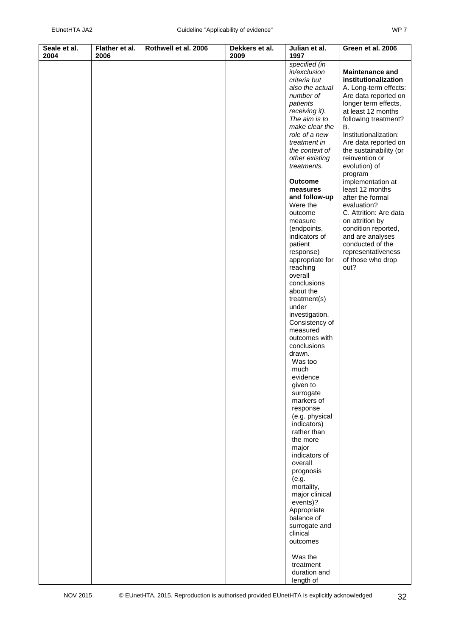| Seale et al.<br>2004 | Flather et al.<br>2006 | Rothwell et al. 2006 | Dekkers et al.<br>2009 | Julian et al.<br>1997      | Green et al. 2006                   |
|----------------------|------------------------|----------------------|------------------------|----------------------------|-------------------------------------|
|                      |                        |                      |                        |                            |                                     |
|                      |                        |                      |                        | specified (in              |                                     |
|                      |                        |                      |                        | in/exclusion               | <b>Maintenance and</b>              |
|                      |                        |                      |                        | criteria but               | institutionalization                |
|                      |                        |                      |                        | also the actual            | A. Long-term effects:               |
|                      |                        |                      |                        | number of                  | Are data reported on                |
|                      |                        |                      |                        | patients                   | longer term effects,                |
|                      |                        |                      |                        | receiving it).             | at least 12 months                  |
|                      |                        |                      |                        | The aim is to              | following treatment?                |
|                      |                        |                      |                        | make clear the             | В.                                  |
|                      |                        |                      |                        | role of a new              | Institutionalization:               |
|                      |                        |                      |                        | treatment in               | Are data reported on                |
|                      |                        |                      |                        | the context of             | the sustainability (or              |
|                      |                        |                      |                        | other existing             | reinvention or                      |
|                      |                        |                      |                        | treatments.                | evolution) of                       |
|                      |                        |                      |                        |                            | program                             |
|                      |                        |                      |                        | <b>Outcome</b>             | implementation at                   |
|                      |                        |                      |                        | measures                   | least 12 months<br>after the formal |
|                      |                        |                      |                        | and follow-up<br>Were the  | evaluation?                         |
|                      |                        |                      |                        | outcome                    | C. Attrition: Are data              |
|                      |                        |                      |                        | measure                    | on attrition by                     |
|                      |                        |                      |                        | (endpoints,                | condition reported,                 |
|                      |                        |                      |                        | indicators of              | and are analyses                    |
|                      |                        |                      |                        | patient                    | conducted of the                    |
|                      |                        |                      |                        | response)                  | representativeness                  |
|                      |                        |                      |                        | appropriate for            | of those who drop                   |
|                      |                        |                      |                        | reaching                   | out?                                |
|                      |                        |                      |                        | overall                    |                                     |
|                      |                        |                      |                        | conclusions                |                                     |
|                      |                        |                      |                        | about the                  |                                     |
|                      |                        |                      |                        | treatment(s)               |                                     |
|                      |                        |                      |                        | under                      |                                     |
|                      |                        |                      |                        | investigation.             |                                     |
|                      |                        |                      |                        | Consistency of             |                                     |
|                      |                        |                      |                        | measured                   |                                     |
|                      |                        |                      |                        | outcomes with              |                                     |
|                      |                        |                      |                        | conclusions                |                                     |
|                      |                        |                      |                        | drawn.                     |                                     |
|                      |                        |                      |                        | Was too                    |                                     |
|                      |                        |                      |                        | much                       |                                     |
|                      |                        |                      |                        | evidence                   |                                     |
|                      |                        |                      |                        | given to                   |                                     |
|                      |                        |                      |                        | surrogate                  |                                     |
|                      |                        |                      |                        | markers of                 |                                     |
|                      |                        |                      |                        | response<br>(e.g. physical |                                     |
|                      |                        |                      |                        | indicators)                |                                     |
|                      |                        |                      |                        | rather than                |                                     |
|                      |                        |                      |                        | the more                   |                                     |
|                      |                        |                      |                        | major                      |                                     |
|                      |                        |                      |                        | indicators of              |                                     |
|                      |                        |                      |                        | overall                    |                                     |
|                      |                        |                      |                        | prognosis                  |                                     |
|                      |                        |                      |                        | (e.g.                      |                                     |
|                      |                        |                      |                        | mortality,                 |                                     |
|                      |                        |                      |                        | major clinical             |                                     |
|                      |                        |                      |                        | events)?                   |                                     |
|                      |                        |                      |                        | Appropriate                |                                     |
|                      |                        |                      |                        | balance of                 |                                     |
|                      |                        |                      |                        | surrogate and              |                                     |
|                      |                        |                      |                        | clinical                   |                                     |
|                      |                        |                      |                        | outcomes                   |                                     |
|                      |                        |                      |                        | Was the                    |                                     |
|                      |                        |                      |                        | treatment                  |                                     |
|                      |                        |                      |                        | duration and               |                                     |
|                      |                        |                      |                        | length of                  |                                     |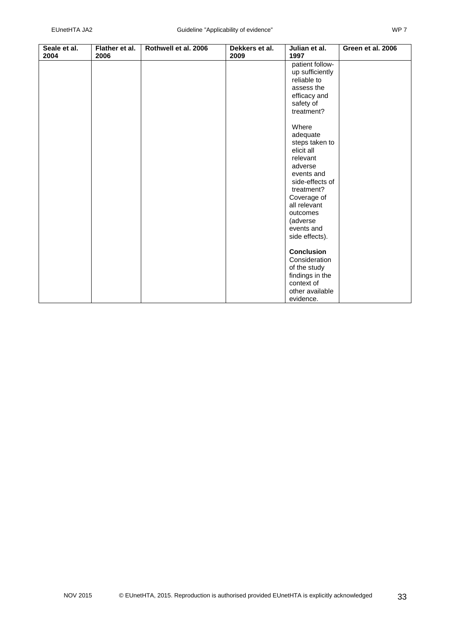| Seale et al.<br>2004 | Flather et al.<br>2006 | Rothwell et al. 2006 | Dekkers et al.<br>2009 | Julian et al.<br>1997 | Green et al. 2006 |
|----------------------|------------------------|----------------------|------------------------|-----------------------|-------------------|
|                      |                        |                      |                        | patient follow-       |                   |
|                      |                        |                      |                        | up sufficiently       |                   |
|                      |                        |                      |                        | reliable to           |                   |
|                      |                        |                      |                        | assess the            |                   |
|                      |                        |                      |                        | efficacy and          |                   |
|                      |                        |                      |                        | safety of             |                   |
|                      |                        |                      |                        | treatment?            |                   |
|                      |                        |                      |                        |                       |                   |
|                      |                        |                      |                        | Where                 |                   |
|                      |                        |                      |                        | adequate              |                   |
|                      |                        |                      |                        | steps taken to        |                   |
|                      |                        |                      |                        | elicit all            |                   |
|                      |                        |                      |                        | relevant              |                   |
|                      |                        |                      |                        | adverse               |                   |
|                      |                        |                      |                        | events and            |                   |
|                      |                        |                      |                        | side-effects of       |                   |
|                      |                        |                      |                        | treatment?            |                   |
|                      |                        |                      |                        | Coverage of           |                   |
|                      |                        |                      |                        | all relevant          |                   |
|                      |                        |                      |                        | outcomes              |                   |
|                      |                        |                      |                        | (adverse              |                   |
|                      |                        |                      |                        | events and            |                   |
|                      |                        |                      |                        | side effects).        |                   |
|                      |                        |                      |                        |                       |                   |
|                      |                        |                      |                        | <b>Conclusion</b>     |                   |
|                      |                        |                      |                        | Consideration         |                   |
|                      |                        |                      |                        | of the study          |                   |
|                      |                        |                      |                        | findings in the       |                   |
|                      |                        |                      |                        | context of            |                   |
|                      |                        |                      |                        | other available       |                   |
|                      |                        |                      |                        | evidence.             |                   |